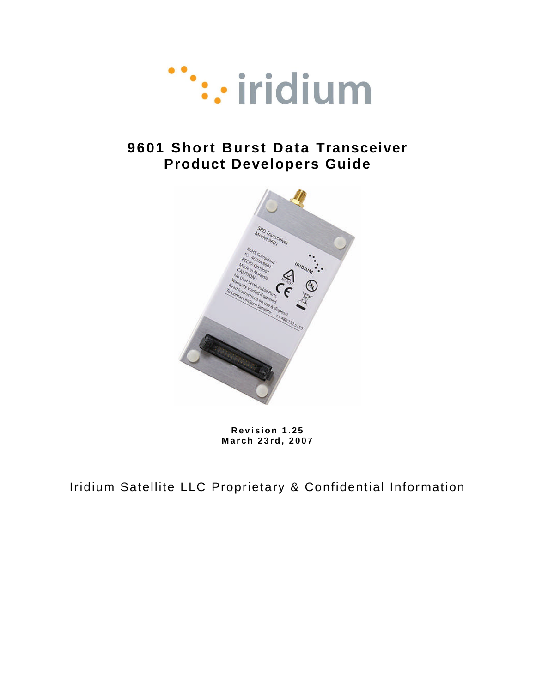

# **9601 Short Burst Data Transceiver Product Developers Guide**



**R e v i s i o n 1 . 2 5 M a r c h 2 3 r d, 2 0 0 7**

Iridium Satellite LLC Proprietary & Confidential Information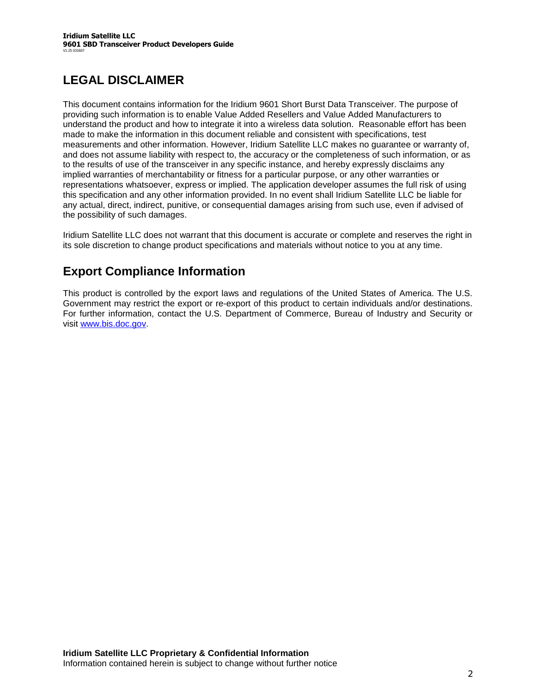# **LEGAL DISCLAIMER**

This document contains information for the Iridium 9601 Short Burst Data Transceiver. The purpose of providing such information is to enable Value Added Resellers and Value Added Manufacturers to understand the product and how to integrate it into a wireless data solution. Reasonable effort has been made to make the information in this document reliable and consistent with specifications, test measurements and other information. However, Iridium Satellite LLC makes no guarantee or warranty of, and does not assume liability with respect to, the accuracy or the completeness of such information, or as to the results of use of the transceiver in any specific instance, and hereby expressly disclaims any implied warranties of merchantability or fitness for a particular purpose, or any other warranties or representations whatsoever, express or implied. The application developer assumes the full risk of using this specification and any other information provided. In no event shall Iridium Satellite LLC be liable for any actual, direct, indirect, punitive, or consequential damages arising from such use, even if advised of the possibility of such damages.

Iridium Satellite LLC does not warrant that this document is accurate or complete and reserves the right in its sole discretion to change product specifications and materials without notice to you at any time.

## **Export Compliance Information**

This product is controlled by the export laws and regulations of the United States of America. The U.S. Government may restrict the export or re-export of this product to certain individuals and/or destinations. For further information, contact the U.S. Department of Commerce, Bureau of Industry and Security or visit www.bis.doc.gov.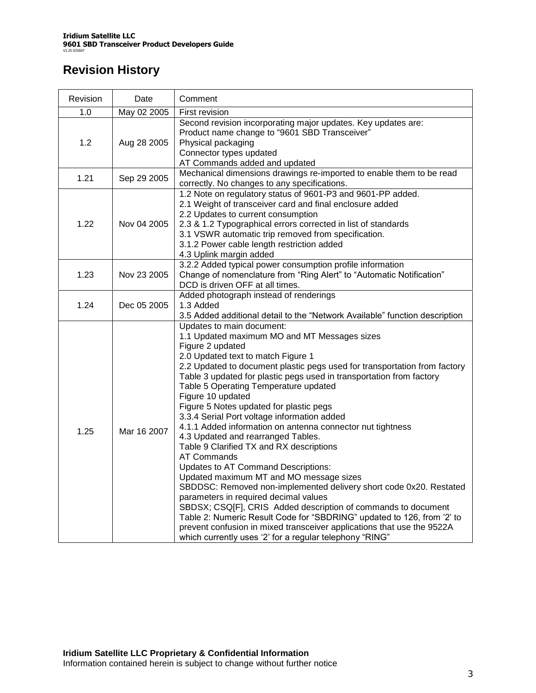# **Revision History**

| Revision | Date        | Comment                                                                                                                                                                                                                                                                                                                                                                                                                                                                                                                                                                                                                                                                                                                                                                                                                                                                                                                                                                                                                                                                                                 |  |  |
|----------|-------------|---------------------------------------------------------------------------------------------------------------------------------------------------------------------------------------------------------------------------------------------------------------------------------------------------------------------------------------------------------------------------------------------------------------------------------------------------------------------------------------------------------------------------------------------------------------------------------------------------------------------------------------------------------------------------------------------------------------------------------------------------------------------------------------------------------------------------------------------------------------------------------------------------------------------------------------------------------------------------------------------------------------------------------------------------------------------------------------------------------|--|--|
| 1.0      | May 02 2005 | First revision                                                                                                                                                                                                                                                                                                                                                                                                                                                                                                                                                                                                                                                                                                                                                                                                                                                                                                                                                                                                                                                                                          |  |  |
| 1.2      | Aug 28 2005 | Second revision incorporating major updates. Key updates are:<br>Product name change to "9601 SBD Transceiver"<br>Physical packaging<br>Connector types updated<br>AT Commands added and updated                                                                                                                                                                                                                                                                                                                                                                                                                                                                                                                                                                                                                                                                                                                                                                                                                                                                                                        |  |  |
| 1.21     | Sep 29 2005 | Mechanical dimensions drawings re-imported to enable them to be read<br>correctly. No changes to any specifications.                                                                                                                                                                                                                                                                                                                                                                                                                                                                                                                                                                                                                                                                                                                                                                                                                                                                                                                                                                                    |  |  |
| 1.22     | Nov 04 2005 | 1.2 Note on regulatory status of 9601-P3 and 9601-PP added.<br>2.1 Weight of transceiver card and final enclosure added<br>2.2 Updates to current consumption<br>2.3 & 1.2 Typographical errors corrected in list of standards<br>3.1 VSWR automatic trip removed from specification.<br>3.1.2 Power cable length restriction added<br>4.3 Uplink margin added                                                                                                                                                                                                                                                                                                                                                                                                                                                                                                                                                                                                                                                                                                                                          |  |  |
| 1.23     | Nov 23 2005 | 3.2.2 Added typical power consumption profile information<br>Change of nomenclature from "Ring Alert" to "Automatic Notification"<br>DCD is driven OFF at all times.                                                                                                                                                                                                                                                                                                                                                                                                                                                                                                                                                                                                                                                                                                                                                                                                                                                                                                                                    |  |  |
| 1.24     | Dec 05 2005 | Added photograph instead of renderings<br>1.3 Added<br>3.5 Added additional detail to the "Network Available" function description                                                                                                                                                                                                                                                                                                                                                                                                                                                                                                                                                                                                                                                                                                                                                                                                                                                                                                                                                                      |  |  |
| 1.25     | Mar 16 2007 | Updates to main document:<br>1.1 Updated maximum MO and MT Messages sizes<br>Figure 2 updated<br>2.0 Updated text to match Figure 1<br>2.2 Updated to document plastic pegs used for transportation from factory<br>Table 3 updated for plastic pegs used in transportation from factory<br>Table 5 Operating Temperature updated<br>Figure 10 updated<br>Figure 5 Notes updated for plastic pegs<br>3.3.4 Serial Port voltage information added<br>4.1.1 Added information on antenna connector nut tightness<br>4.3 Updated and rearranged Tables.<br>Table 9 Clarified TX and RX descriptions<br><b>AT Commands</b><br>Updates to AT Command Descriptions:<br>Updated maximum MT and MO message sizes<br>SBDDSC: Removed non-implemented delivery short code 0x20. Restated<br>parameters in required decimal values<br>SBDSX; CSQ[F], CRIS Added description of commands to document<br>Table 2: Numeric Result Code for "SBDRING" updated to 126, from '2' to<br>prevent confusion in mixed transceiver applications that use the 9522A<br>which currently uses '2' for a regular telephony "RING" |  |  |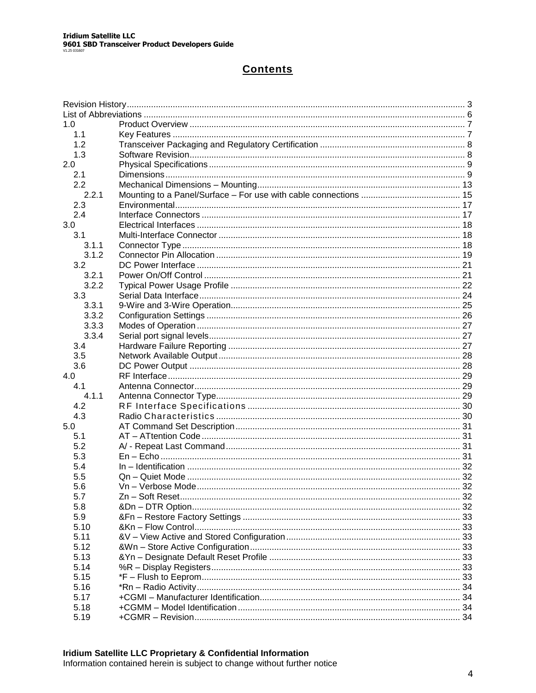### **Contents**

| 1.0   |  |
|-------|--|
| 1.1   |  |
| 1.2   |  |
| 1.3   |  |
| 2.0   |  |
| 2.1   |  |
| 2.2   |  |
| 2.2.1 |  |
| 2.3   |  |
| 2.4   |  |
| 3.0   |  |
| 3.1   |  |
| 3.1.1 |  |
| 3.1.2 |  |
| 3.2   |  |
| 3.2.1 |  |
| 3.2.2 |  |
| 3.3   |  |
| 3.3.1 |  |
| 3.3.2 |  |
| 3.3.3 |  |
| 3.3.4 |  |
| 3.4   |  |
| 3.5   |  |
| 3.6   |  |
| 4.0   |  |
| 4.1   |  |
| 4.1.1 |  |
| 4.2   |  |
| 4.3   |  |
| 5.0   |  |
| 5.1   |  |
| 5.2   |  |
| 5.3   |  |
| 5.4   |  |
| 5.5   |  |
| 5.6   |  |
| 5.7   |  |
| 5.8   |  |
| 5.9   |  |
| 5.10  |  |
| 5.11  |  |
| 5.12  |  |
| 5.13  |  |
| 5.14  |  |
| 5.15  |  |
| 5.16  |  |
| 5.17  |  |
| 5.18  |  |
| 5.19  |  |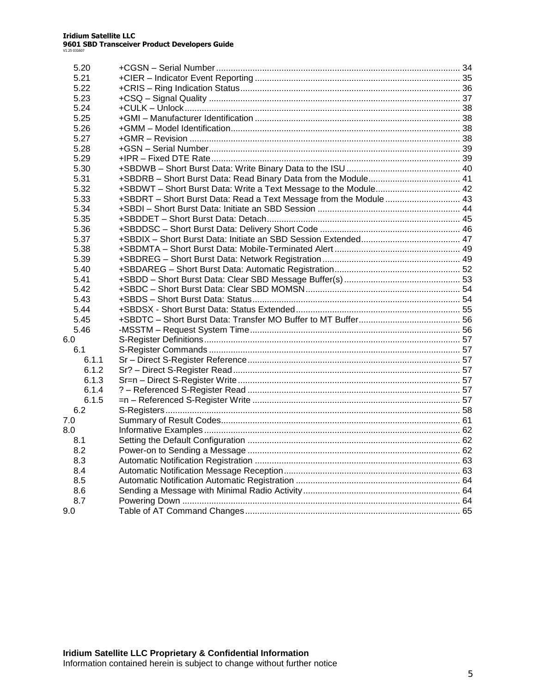| 5.20  |                                                                   |  |
|-------|-------------------------------------------------------------------|--|
| 5.21  |                                                                   |  |
| 5.22  |                                                                   |  |
| 5.23  |                                                                   |  |
| 5.24  |                                                                   |  |
| 5.25  |                                                                   |  |
| 5.26  |                                                                   |  |
| 5.27  |                                                                   |  |
| 5.28  |                                                                   |  |
| 5.29  |                                                                   |  |
| 5.30  |                                                                   |  |
| 5.31  |                                                                   |  |
| 5.32  | +SBDWT - Short Burst Data: Write a Text Message to the Module 42  |  |
| 5.33  | +SBDRT - Short Burst Data: Read a Text Message from the Module 43 |  |
| 5.34  |                                                                   |  |
| 5.35  |                                                                   |  |
| 5.36  |                                                                   |  |
| 5.37  |                                                                   |  |
| 5.38  |                                                                   |  |
| 5.39  |                                                                   |  |
| 5.40  |                                                                   |  |
| 5.41  |                                                                   |  |
| 5.42  |                                                                   |  |
| 5.43  |                                                                   |  |
| 5.44  |                                                                   |  |
| 5.45  |                                                                   |  |
| 5.46  |                                                                   |  |
| 6.0   |                                                                   |  |
| 6.1   |                                                                   |  |
| 6.1.1 |                                                                   |  |
| 6.1.2 |                                                                   |  |
| 6.1.3 |                                                                   |  |
| 6.1.4 |                                                                   |  |
| 6.1.5 |                                                                   |  |
| 6.2   |                                                                   |  |
| 7.0   |                                                                   |  |
| 8.0   |                                                                   |  |
| 8.1   |                                                                   |  |
| 8.2   |                                                                   |  |
| 8.3   |                                                                   |  |
| 8.4   |                                                                   |  |
| 8.5   |                                                                   |  |
| 8.6   |                                                                   |  |
| 8.7   |                                                                   |  |
| 9.0   |                                                                   |  |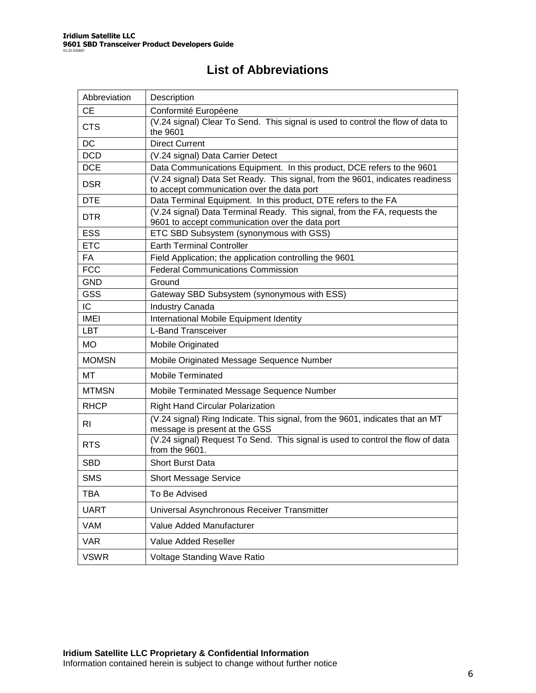## **List of Abbreviations**

| Abbreviation | Description                                                                                                                  |
|--------------|------------------------------------------------------------------------------------------------------------------------------|
| <b>CE</b>    | Conformité Européene                                                                                                         |
| <b>CTS</b>   | (V.24 signal) Clear To Send. This signal is used to control the flow of data to<br>the 9601                                  |
| <b>DC</b>    | <b>Direct Current</b>                                                                                                        |
| <b>DCD</b>   | (V.24 signal) Data Carrier Detect                                                                                            |
| <b>DCE</b>   | Data Communications Equipment. In this product, DCE refers to the 9601                                                       |
| <b>DSR</b>   | (V.24 signal) Data Set Ready. This signal, from the 9601, indicates readiness<br>to accept communication over the data port  |
| <b>DTE</b>   | Data Terminal Equipment. In this product, DTE refers to the FA                                                               |
| <b>DTR</b>   | (V.24 signal) Data Terminal Ready. This signal, from the FA, requests the<br>9601 to accept communication over the data port |
| <b>ESS</b>   | ETC SBD Subsystem (synonymous with GSS)                                                                                      |
| <b>ETC</b>   | <b>Earth Terminal Controller</b>                                                                                             |
| FA           | Field Application; the application controlling the 9601                                                                      |
| <b>FCC</b>   | <b>Federal Communications Commission</b>                                                                                     |
| <b>GND</b>   | Ground                                                                                                                       |
| <b>GSS</b>   | Gateway SBD Subsystem (synonymous with ESS)                                                                                  |
| IC           | <b>Industry Canada</b>                                                                                                       |
| <b>IMEI</b>  | International Mobile Equipment Identity                                                                                      |
| <b>LBT</b>   | <b>L-Band Transceiver</b>                                                                                                    |
| <b>MO</b>    | Mobile Originated                                                                                                            |
| <b>MOMSN</b> | Mobile Originated Message Sequence Number                                                                                    |
| МT           | <b>Mobile Terminated</b>                                                                                                     |
| <b>MTMSN</b> | Mobile Terminated Message Sequence Number                                                                                    |
| <b>RHCP</b>  | <b>Right Hand Circular Polarization</b>                                                                                      |
| RI           | (V.24 signal) Ring Indicate. This signal, from the 9601, indicates that an MT<br>message is present at the GSS               |
| <b>RTS</b>   | (V.24 signal) Request To Send. This signal is used to control the flow of data<br>from the 9601.                             |
| <b>SBD</b>   | <b>Short Burst Data</b>                                                                                                      |
| <b>SMS</b>   | <b>Short Message Service</b>                                                                                                 |
| <b>TBA</b>   | To Be Advised                                                                                                                |
| <b>UART</b>  | Universal Asynchronous Receiver Transmitter                                                                                  |
| VAM          | Value Added Manufacturer                                                                                                     |
| <b>VAR</b>   | Value Added Reseller                                                                                                         |
| <b>VSWR</b>  | Voltage Standing Wave Ratio                                                                                                  |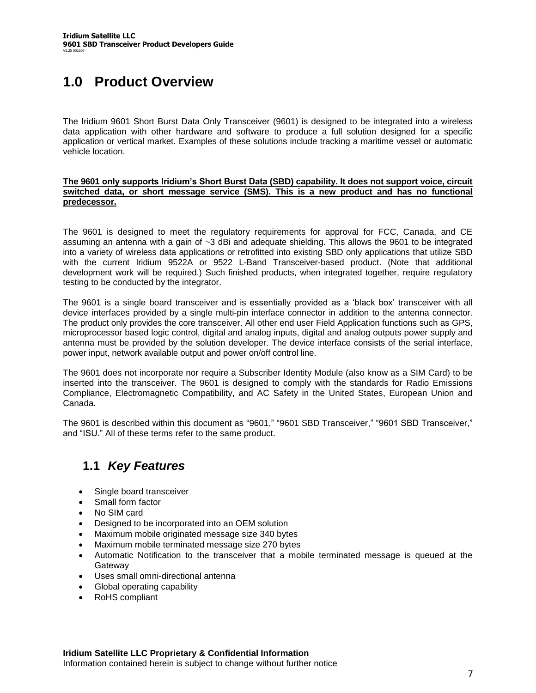# **1.0 Product Overview**

The Iridium 9601 Short Burst Data Only Transceiver (9601) is designed to be integrated into a wireless data application with other hardware and software to produce a full solution designed for a specific application or vertical market. Examples of these solutions include tracking a maritime vessel or automatic vehicle location.

#### **The 9601 onlysupportsIridium'sShortBurstData(SBD) capability. It does not support voice, circuit switched data, or short message service (SMS). This is a new product and has no functional predecessor.**

The 9601 is designed to meet the regulatory requirements for approval for FCC, Canada, and CE assuming an antenna with a gain of ~3 dBi and adequate shielding. This allows the 9601 to be integrated into a variety of wireless data applications or retrofitted into existing SBD only applications that utilize SBD with the current Iridium 9522A or 9522 L-Band Transceiver-based product. (Note that additional development work will be required.) Such finished products, when integrated together, require regulatory testing to be conducted by the integrator.

The 9601 is a single board transceiver and is essentially provided as a 'black box' transceiver with all device interfaces provided by a single multi-pin interface connector in addition to the antenna connector. The product only provides the core transceiver. All other end user Field Application functions such as GPS, microprocessor based logic control, digital and analog inputs, digital and analog outputs power supply and antenna must be provided by the solution developer. The device interface consists of the serial interface, power input, network available output and power on/off control line.

The 9601 does not incorporate nor require a Subscriber Identity Module (also know as a SIM Card) to be inserted into the transceiver. The 9601 is designed to comply with the standards for Radio Emissions Compliance, Electromagnetic Compatibility, and AC Safety in the United States, European Union and Canada.

The 9601 is described within this document as "9601," "9601 SBD Transceiver," "9601 SBD Transceiver," and "ISU." All of these terms refer to the same product.

## **1.1** *Key Features*

- Single board transceiver
- Small form factor
- No SIM card
- Designed to be incorporated into an OEM solution
- Maximum mobile originated message size 340 bytes
- Maximum mobile terminated message size 270 bytes
- Automatic Notification to the transceiver that a mobile terminated message is queued at the **Gateway**
- Uses small omni-directional antenna
- Global operating capability
- RoHS compliant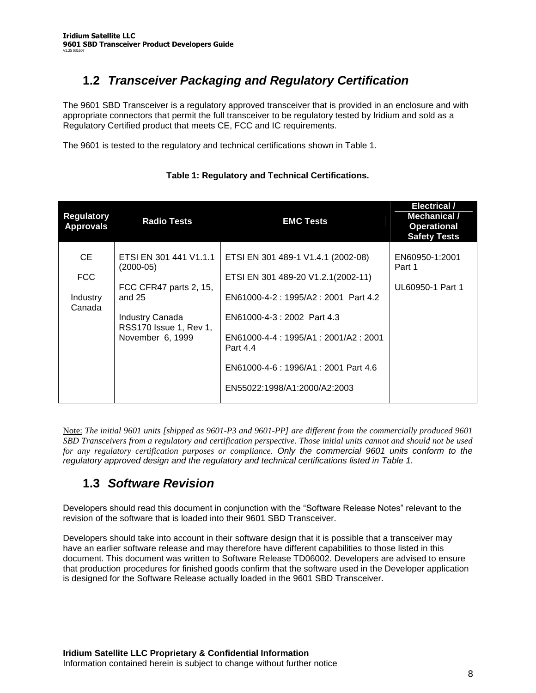# **1.2** *Transceiver Packaging and Regulatory Certification*

The 9601 SBD Transceiver is a regulatory approved transceiver that is provided in an enclosure and with appropriate connectors that permit the full transceiver to be regulatory tested by Iridium and sold as a Regulatory Certified product that meets CE, FCC and IC requirements.

The 9601 is tested to the regulatory and technical certifications shown in Table 1.

| <b>Regulatory</b><br><b>Approvals</b>   | <b>Radio Tests</b>                                                                                                                                  | <b>EMC Tests</b>                                                                                                                                                                                                                                                           | <b>Electrical /</b><br>Mechanical /<br><b>Operational</b><br><b>Safety Tests</b> |
|-----------------------------------------|-----------------------------------------------------------------------------------------------------------------------------------------------------|----------------------------------------------------------------------------------------------------------------------------------------------------------------------------------------------------------------------------------------------------------------------------|----------------------------------------------------------------------------------|
| CE.<br><b>FCC</b><br>Industry<br>Canada | ETSI EN 301 441 V1.1.1<br>$(2000-05)$<br>FCC CFR47 parts 2, 15,<br>and $25$<br><b>Industry Canada</b><br>RSS170 Issue 1, Rev 1,<br>November 6, 1999 | ETSI EN 301 489-1 V1.4.1 (2002-08)<br>ETSI EN 301 489-20 V1.2.1(2002-11)<br>EN61000-4-2: 1995/A2: 2001 Part 4.2<br>EN61000-4-3 : 2002 Part 4.3<br>EN61000-4-4: 1995/A1: 2001/A2: 2001<br>Part 4.4<br>EN61000-4-6 : 1996/A1 : 2001 Part 4.6<br>EN55022:1998/A1:2000/A2:2003 | EN60950-1:2001<br>Part 1<br>UL60950-1 Part 1                                     |

### **Table 1: Regulatory and Technical Certifications.**

Note: *The initial 9601 units [shipped as 9601-P3 and 9601-PP] are different from the commercially produced 9601 SBD Transceivers from a regulatory and certification perspective. Those initial units cannot and should not be used for any regulatory certification purposes or compliance. Only the commercial 9601 units conform to the regulatory approved design and the regulatory and technical certifications listed in Table 1.*

## **1.3** *Software Revision*

Developers should read this document in conjunction with the "Software Release Notes" relevant to the revision of the software that is loaded into their 9601 SBD Transceiver.

Developers should take into account in their software design that it is possible that a transceiver may have an earlier software release and may therefore have different capabilities to those listed in this document. This document was written to Software Release TD06002. Developers are advised to ensure that production procedures for finished goods confirm that the software used in the Developer application is designed for the Software Release actually loaded in the 9601 SBD Transceiver.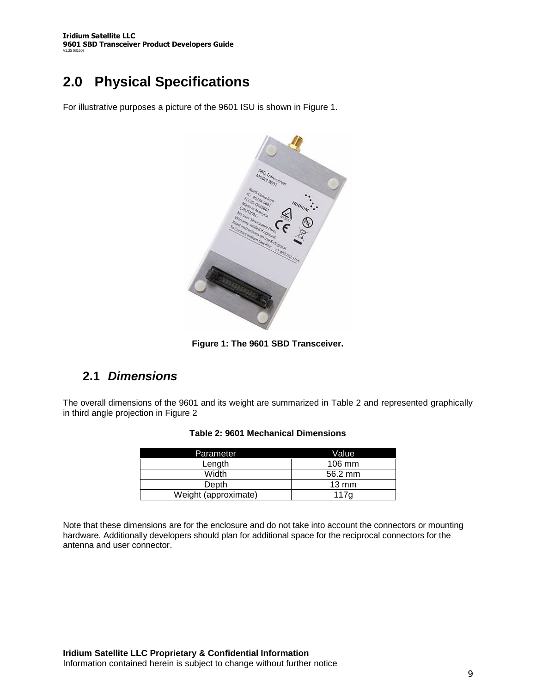# **2.0 Physical Specifications**

For illustrative purposes a picture of the 9601 ISU is shown in Figure 1.



**Figure 1: The 9601 SBD Transceiver.**

### **2.1** *Dimensions*

The overall dimensions of the 9601 and its weight are summarized in Table 2 and represented graphically in third angle projection in Figure 2

| Parameter            | Value            |
|----------------------|------------------|
| Length               | $106 \text{ mm}$ |
| Width                | 56.2 mm          |
| <b>Depth</b>         | $13 \text{ mm}$  |
| Weight (approximate) | 117g             |

Note that these dimensions are for the enclosure and do not take into account the connectors or mounting hardware. Additionally developers should plan for additional space for the reciprocal connectors for the antenna and user connector.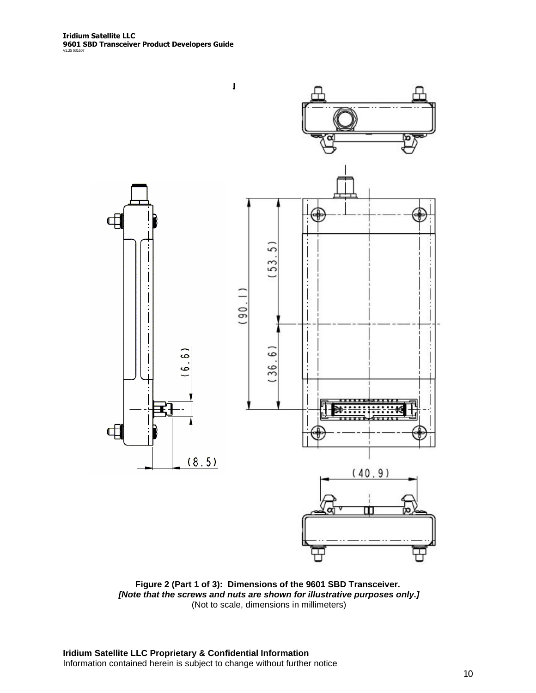

**Figure 2 (Part 1 of 3): Dimensions of the 9601 SBD Transceiver.** *[Note that the screws and nuts are shown for illustrative purposes only.]* (Not to scale, dimensions in millimeters)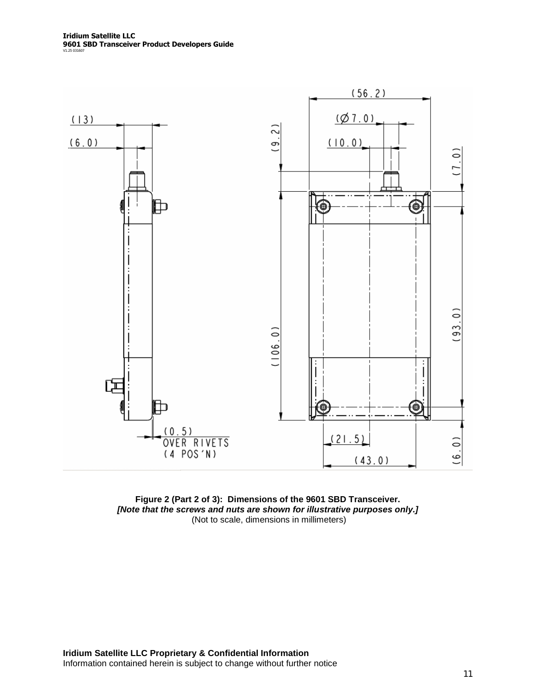

**Figure 2 (Part 2 of 3): Dimensions of the 9601 SBD Transceiver.** *[Note that the screws and nuts are shown for illustrative purposes only.]* (Not to scale, dimensions in millimeters)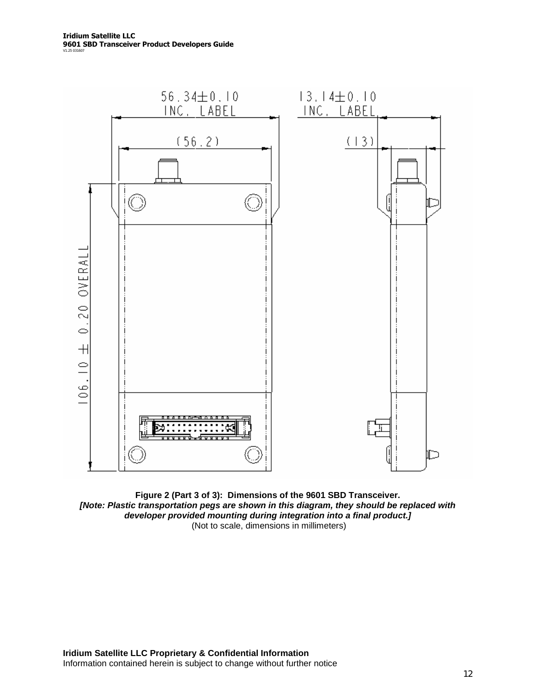

**Figure 2 (Part 3 of 3): Dimensions of the 9601 SBD Transceiver.** *[Note: Plastic transportation pegs are shown in this diagram, they should be replaced with developer provided mounting during integration into a final product.]* (Not to scale, dimensions in millimeters)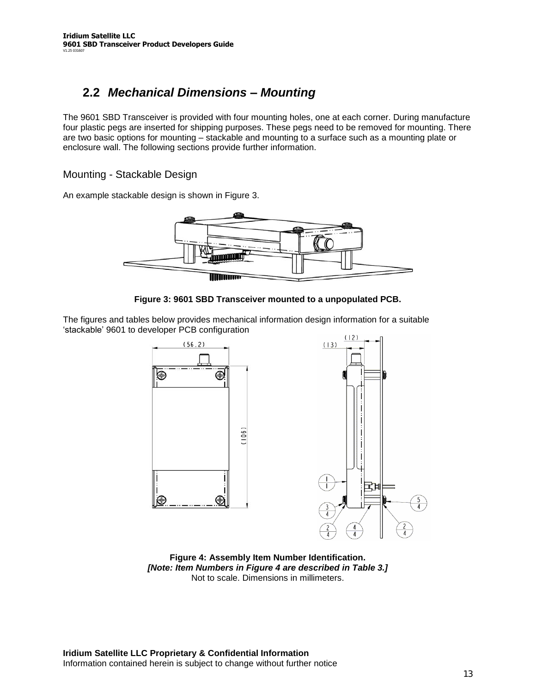## **2.2** *Mechanical Dimensions –Mounting*

The 9601 SBD Transceiver is provided with four mounting holes, one at each corner. During manufacture four plastic pegs are inserted for shipping purposes. These pegs need to be removed for mounting. There are two basic options for mounting – stackable and mounting to a surface such as a mounting plate or enclosure wall. The following sections provide further information.

Mounting - Stackable Design

An example stackable design is shown in Figure 3.





The figures and tables below provides mechanical information design information for a suitable 'stackable'9601 to developer PCB configuration



**Figure 4: Assembly Item Number Identification.** *[Note: Item Numbers in Figure 4 are described in Table 3.]* Not to scale. Dimensions in millimeters.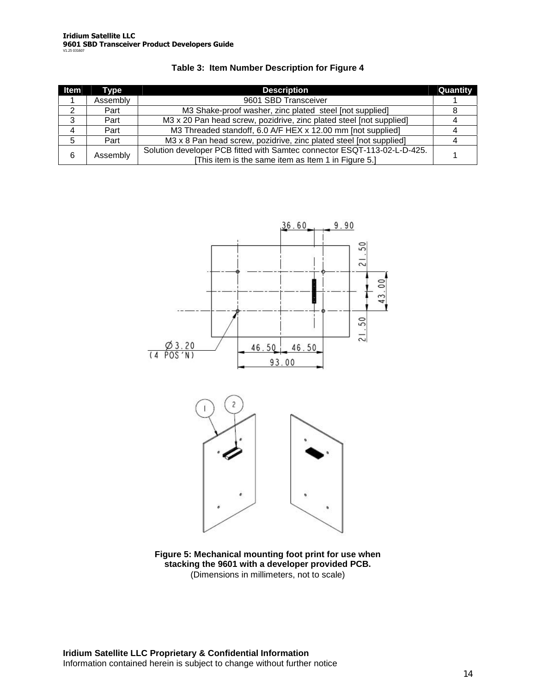| ltem | Tvpe     | <b>Description</b>                                                       | Quantity |  |
|------|----------|--------------------------------------------------------------------------|----------|--|
|      | Assembly | 9601 SBD Transceiver                                                     |          |  |
| 2    | Part     | M3 Shake-proof washer, zinc plated steel [not supplied]                  |          |  |
| 3    | Part     | M3 x 20 Pan head screw, pozidrive, zinc plated steel [not supplied]      |          |  |
| 4    | Part     | M3 Threaded standoff, 6.0 A/F HEX x 12.00 mm [not supplied]              |          |  |
| 5    | Part     | M3 x 8 Pan head screw, pozidrive, zinc plated steel [not supplied]       |          |  |
| 6    | Assembly | Solution developer PCB fitted with Samtec connector ESQT-113-02-L-D-425. |          |  |
|      |          | [This item is the same item as Item 1 in Figure 5.]                      |          |  |





**Figure 5: Mechanical mounting foot print for use when stacking the 9601 with a developer provided PCB.** (Dimensions in millimeters, not to scale)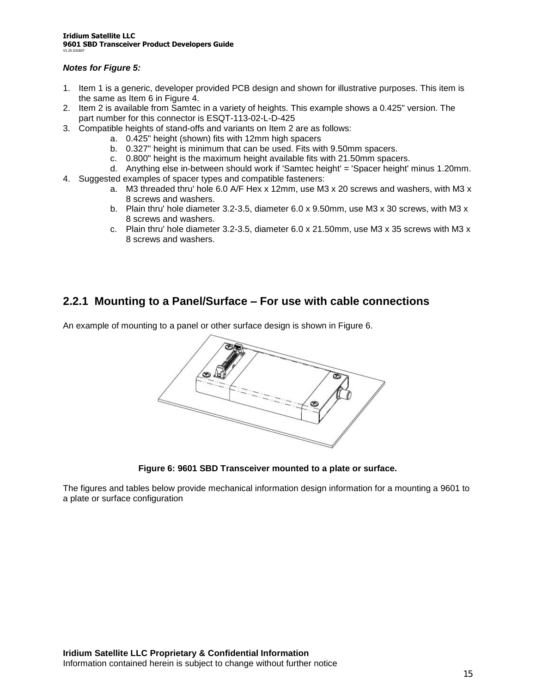### *Notes for Figure 5:*

- 1. Item 1 is a generic, developer provided PCB design and shown for illustrative purposes. This item is the same as Item 6 in Figure 4.
- 2. Item 2 is available from Samtec in a variety of heights. This example shows a 0.425" version. The part number for this connector is ESQT-113-02-L-D-425
- 3. Compatible heights of stand-offs and variants on Item 2 are as follows:
	- a. 0.425" height (shown) fits with 12mm high spacers
		- b. 0.327" height is minimum that can be used. Fits with 9.50mm spacers.
		- c. 0.800" height is the maximum height available fits with 21.50mm spacers.
	- d. Anything else in-between should work if 'Samtec height' = 'Spacer height' minus 1.20mm.
- 4. Suggested examples of spacer types and compatible fasteners:
	- a. M3 threaded thru' hole 6.0 A/F Hex x 12mm, use M3 x 20 screws and washers, with M3 x 8 screws and washers.
	- b. Plain thru' hole diameter 3.2-3.5, diameter 6.0 x 9.50mm, use M3 x 30 screws, with M3 x 8 screws and washers.
	- c. Plain thru' hole diameter 3.2-3.5, diameter 6.0 x 21.50mm, use M3 x 35 screws with M3 x 8 screws and washers.

### **2.2.1 Mounting to a Panel/Surface –For use with cable connections**

An example of mounting to a panel or other surface design is shown in Figure 6.



**Figure 6: 9601 SBD Transceiver mounted to a plate or surface.**

The figures and tables below provide mechanical information design information for a mounting a 9601 to a plate or surface configuration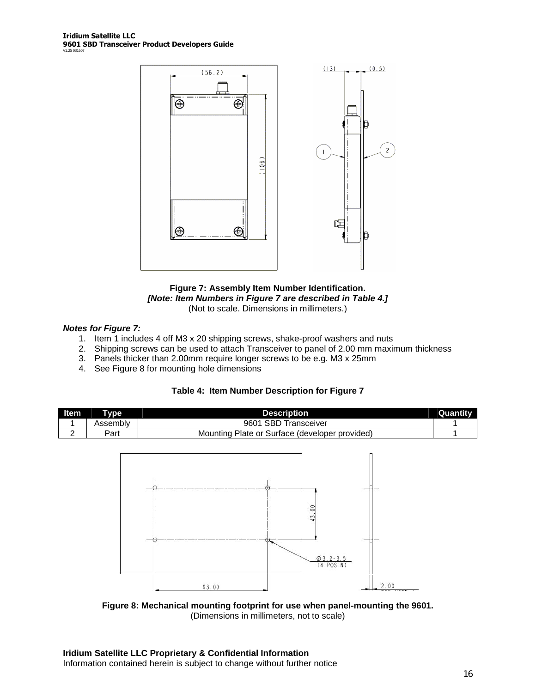



### *Notes for Figure 7:*

- 1. Item 1 includes 4 off M3 x 20 shipping screws, shake-proof washers and nuts
- 2. Shipping screws can be used to attach Transceiver to panel of 2.00 mm maximum thickness
- 3. Panels thicker than 2.00mm require longer screws to be e.g. M3 x 25mm
- 4. See Figure 8 for mounting hole dimensions



| <b>Item</b> | Type     | <b>Description</b>                                | Quantity |
|-------------|----------|---------------------------------------------------|----------|
|             | Assemblv | <b>SBD Transceiver</b><br>9601                    |          |
|             | Part     | Diate or Surface (developer provided)<br>Mounting |          |



**Figure 8: Mechanical mounting footprint for use when panel-mounting the 9601.** (Dimensions in millimeters, not to scale)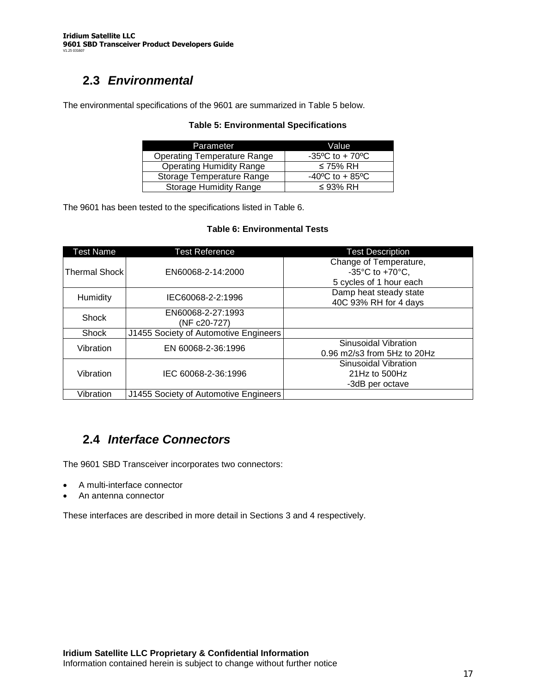# **2.3** *Environmental*

The environmental specifications of the 9601 are summarized in Table 5 below.

### **Table 5: Environmental Specifications**

| Parameter                          | Value                                |
|------------------------------------|--------------------------------------|
| <b>Operating Temperature Range</b> | $-35^{\circ}$ C to + 70 $^{\circ}$ C |
| <b>Operating Humidity Range</b>    | ≤ 75% RH                             |
| Storage Temperature Range          | $-40^{\circ}$ C to + 85 $^{\circ}$ C |
| <b>Storage Humidity Range</b>      | $\leq$ 93% RH                        |

The 9601 has been tested to the specifications listed in Table 6.

#### **Table 6: Environmental Tests**

| Test Name     | <b>Test Reference</b>                 | <b>Test Description</b>                                                                                     |
|---------------|---------------------------------------|-------------------------------------------------------------------------------------------------------------|
| Thermal Shock | EN60068-2-14:2000                     | Change of Temperature,<br>-35 $\mathrm{^{\circ}C}$ to +70 $\mathrm{^{\circ}C}$ ,<br>5 cycles of 1 hour each |
| Humidity      | IEC60068-2-2:1996                     | Damp heat steady state<br>40C 93% RH for 4 days                                                             |
| <b>Shock</b>  | EN60068-2-27:1993<br>(NF c20-727)     |                                                                                                             |
| <b>Shock</b>  | J1455 Society of Automotive Engineers |                                                                                                             |
| Vibration     | EN 60068-2-36:1996                    | Sinusoidal Vibration<br>$0.96$ m2/s3 from 5Hz to 20Hz                                                       |
| Vibration     | IEC 60068-2-36:1996                   | Sinusoidal Vibration<br>21Hz to $500$ Hz<br>-3dB per octave                                                 |
| Vibration     | J1455 Society of Automotive Engineers |                                                                                                             |

### **2.4** *Interface Connectors*

The 9601 SBD Transceiver incorporates two connectors:

- A multi-interface connector
- An antenna connector

These interfaces are described in more detail in Sections 3 and 4 respectively.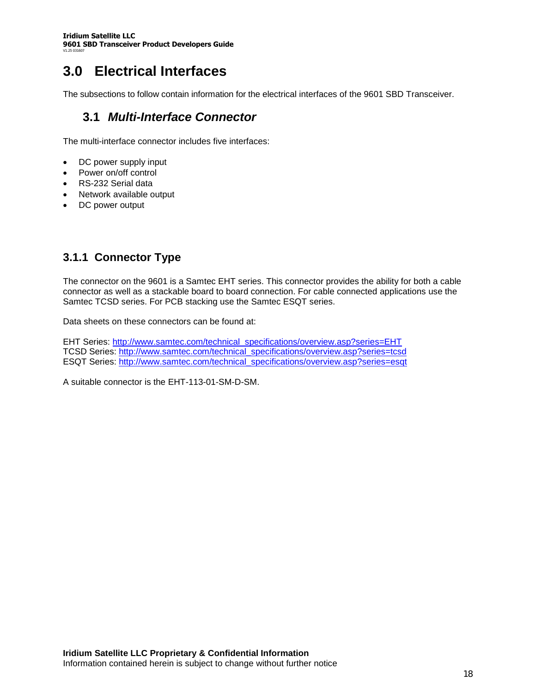# **3.0 Electrical Interfaces**

The subsections to follow contain information for the electrical interfaces of the 9601 SBD Transceiver.

### **3.1** *Multi-Interface Connector*

The multi-interface connector includes five interfaces:

- DC power supply input
- Power on/off control
- RS-232 Serial data
- Network available output
- DC power output

### **3.1.1 Connector Type**

The connector on the 9601 is a Samtec EHT series. This connector provides the ability for both a cable connector as well as a stackable board to board connection. For cable connected applications use the Samtec TCSD series. For PCB stacking use the Samtec ESQT series.

Data sheets on these connectors can be found at:

EHT Series: http://www.samtec.com/technical\_specifications/overview.asp?series=EHT TCSD Series: http://www.samtec.com/technical\_specifications/overview.asp?series=tcsd ESQT Series: http://www.samtec.com/technical\_specifications/overview.asp?series=esqt

A suitable connector is the EHT-113-01-SM-D-SM.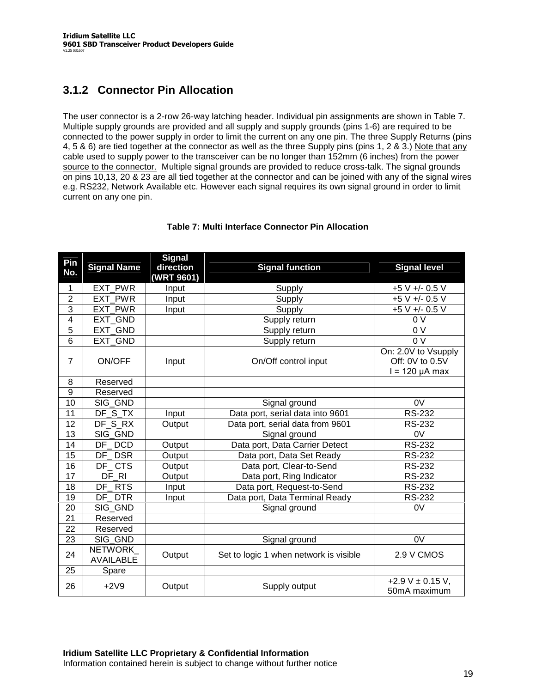### **3.1.2 Connector Pin Allocation**

The user connector is a 2-row 26-way latching header. Individual pin assignments are shown in Table 7. Multiple supply grounds are provided and all supply and supply grounds (pins 1-6) are required to be connected to the power supply in order to limit the current on any one pin. The three Supply Returns (pins 4, 5 & 6) are tied together at the connector as well as the three Supply pins (pins 1, 2 & 3.) Note that any cable used to supply power to the transceiver can be no longer than 152mm (6 inches) from the power source to the connector. Multiple signal grounds are provided to reduce cross-talk. The signal grounds on pins 10,13, 20 & 23 are all tied together at the connector and can be joined with any of the signal wires e.g. RS232, Network Available etc. However each signal requires its own signal ground in order to limit current on any one pin.

| Pin                     |                                    | <b>Signal</b> |                                        |                                        |
|-------------------------|------------------------------------|---------------|----------------------------------------|----------------------------------------|
| No.                     | <b>Signal Name</b>                 | direction     | <b>Signal function</b>                 | <b>Signal level</b>                    |
|                         |                                    | (WRT 9601)    |                                        |                                        |
| 1                       | EXT PWR                            | Input         | Supply                                 | +5 V +/- 0.5 V                         |
| $\overline{2}$          | <b>EXT PWR</b>                     | Input         | Supply                                 | $+5V + -0.5V$                          |
| 3                       | EXT PWR                            | Input         | Supply                                 | +5 V +/- 0.5 V                         |
| $\overline{\mathbf{4}}$ | EXT GND                            |               | Supply return                          | 0V                                     |
| $\overline{5}$          | EXT GND                            |               | Supply return                          | $\overline{0 V}$                       |
| $\overline{6}$          | <b>EXT GND</b>                     |               | Supply return                          | $\overline{0V}$                        |
| $\overline{7}$          | ON/OFF                             | Input         | On/Off control input                   | On: 2.0V to Vsupply<br>Off: 0V to 0.5V |
|                         |                                    |               |                                        | $l = 120 \mu A$ max                    |
| 8                       | Reserved                           |               |                                        |                                        |
| $\overline{9}$          | Reserved                           |               |                                        |                                        |
| 10                      | SIG GND                            |               | Signal ground                          | 0 <sup>V</sup>                         |
| $\overline{11}$         | $DF_S_TX$                          | Input         | Data port, serial data into 9601       | <b>RS-232</b>                          |
| 12                      | DF_S_RX                            | Output        | Data port, serial data from 9601       | <b>RS-232</b>                          |
| 13                      | SIG GND                            |               | Signal ground                          | 0V                                     |
| 14                      | DF DCD                             | Output        | Data port, Data Carrier Detect         | <b>RS-232</b>                          |
| 15                      | DF DSR                             | Output        | Data port, Data Set Ready              | <b>RS-232</b>                          |
| $\overline{16}$         | <b>CTS</b><br>DF                   | Output        | Data port, Clear-to-Send               | <b>RS-232</b>                          |
| 17                      | DF RI                              | Output        | Data port, Ring Indicator              | <b>RS-232</b>                          |
| 18                      | DF RTS                             | Input         | Data port, Request-to-Send             | <b>RS-232</b>                          |
| 19                      | DF DTR                             | Input         | Data port, Data Terminal Ready         | <b>RS-232</b>                          |
| 20                      | SIG GND                            |               | Signal ground                          | 0V                                     |
| 21                      | Reserved                           |               |                                        |                                        |
| 22                      | Reserved                           |               |                                        |                                        |
| 23                      | SIG_GND                            |               | Signal ground                          | 0 <sup>V</sup>                         |
| 24                      | <b>NETWORK</b><br><b>AVAILABLE</b> | Output        | Set to logic 1 when network is visible | 2.9 V CMOS                             |
| 25                      | Spare                              |               |                                        |                                        |
| 26                      | $+2V9$                             | Output        | Supply output                          | +2.9 V $\pm$ 0.15 V,<br>50mA maximum   |

### **Table 7: Multi Interface Connector Pin Allocation**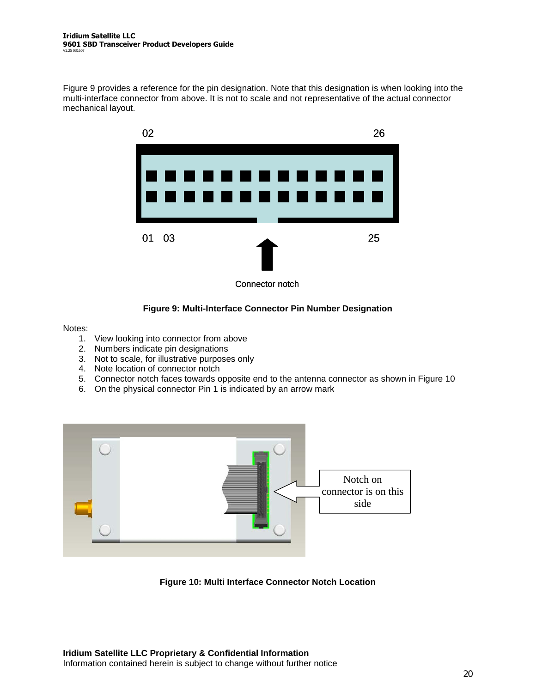Figure 9 provides a reference for the pin designation. Note that this designation is when looking into the multi-interface connector from above. It is not to scale and not representative of the actual connector mechanical layout.



### **Figure 9: Multi-Interface Connector Pin Number Designation**

Notes:

- 1. View looking into connector from above
- 2. Numbers indicate pin designations
- 3. Not to scale, for illustrative purposes only
- 4. Note location of connector notch
- 5. Connector notch faces towards opposite end to the antenna connector as shown in Figure 10
- 6. On the physical connector Pin 1 is indicated by an arrow mark



**Figure 10: Multi Interface Connector Notch Location**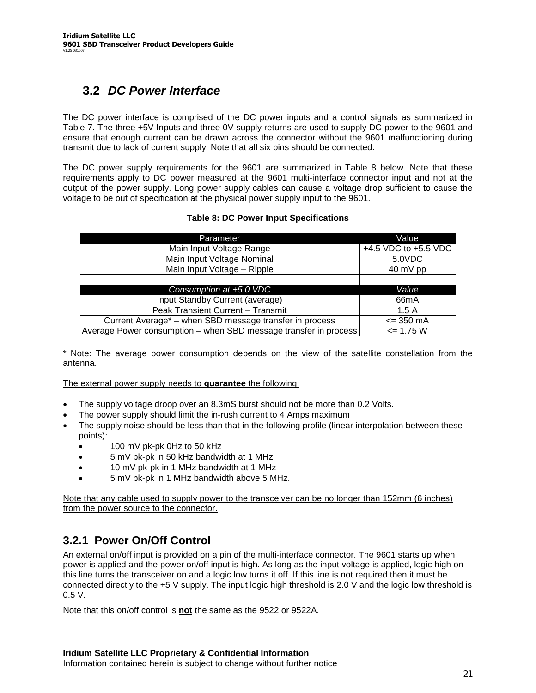# **3.2** *DC Power Interface*

The DC power interface is comprised of the DC power inputs and a control signals as summarized in Table 7. The three +5V Inputs and three 0V supply returns are used to supply DC power to the 9601 and ensure that enough current can be drawn across the connector without the 9601 malfunctioning during transmit due to lack of current supply. Note that all six pins should be connected.

The DC power supply requirements for the 9601 are summarized in Table 8 below. Note that these requirements apply to DC power measured at the 9601 multi-interface connector input and not at the output of the power supply. Long power supply cables can cause a voltage drop sufficient to cause the voltage to be out of specification at the physical power supply input to the 9601.

### **Table 8: DC Power Input Specifications**

| Parameter                                                        | Value                |
|------------------------------------------------------------------|----------------------|
| Main Input Voltage Range                                         | +4.5 VDC to +5.5 VDC |
| Main Input Voltage Nominal                                       | 5.0VDC               |
| Main Input Voltage - Ripple                                      | $40 \text{ mV pp}$   |
|                                                                  |                      |
| Consumption at +5.0 VDC                                          | Value                |
| Input Standby Current (average)                                  | 66 <sub>m</sub> A    |
| Peak Transient Current - Transmit                                | 1.5A                 |
| Current Average* – when SBD message transfer in process          | $= 350 \text{ mA}$   |
| Average Power consumption – when SBD message transfer in process | $= 1.75 W$           |

\* Note: The average power consumption depends on the view of the satellite constellation from the antenna.

The external power supply needs to **guarantee** the following:

- The supply voltage droop over an 8.3mS burst should not be more than 0.2 Volts.
- The power supply should limit the in-rush current to 4 Amps maximum
- The supply noise should be less than that in the following profile (linear interpolation between these points):
	- 100 mV pk-pk 0Hz to 50 kHz
	- 5 mV pk-pk in 50 kHz bandwidth at 1 MHz
	- 10 mV pk-pk in 1 MHz bandwidth at 1 MHz
	- 5 mV pk-pk in 1 MHz bandwidth above 5 MHz.

Note that any cable used to supply power to the transceiver can be no longer than 152mm (6 inches) from the power source to the connector.

### **3.2.1 Power On/Off Control**

An external on/off input is provided on a pin of the multi-interface connector. The 9601 starts up when power is applied and the power on/off input is high. As long as the input voltage is applied, logic high on this line turns the transceiver on and a logic low turns it off. If this line is not required then it must be connected directly to the +5 V supply. The input logic high threshold is 2.0 V and the logic low threshold is 0.5 V.

Note that this on/off control is **not** the same as the 9522 or 9522A.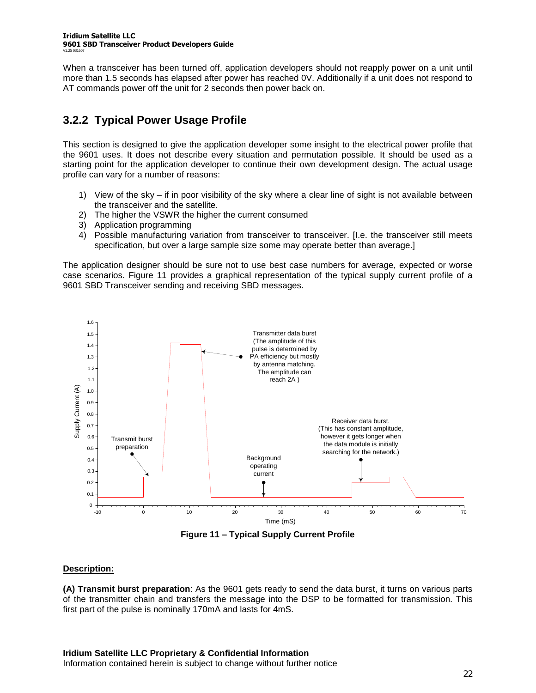When a transceiver has been turned off, application developers should not reapply power on a unit until more than 1.5 seconds has elapsed after power has reached 0V. Additionally if a unit does not respond to AT commands power off the unit for 2 seconds then power back on.

### **3.2.2 Typical Power Usage Profile**

This section is designed to give the application developer some insight to the electrical power profile that the 9601 uses. It does not describe every situation and permutation possible. It should be used as a starting point for the application developer to continue their own development design. The actual usage profile can vary for a number of reasons:

- 1) View of the sky if in poor visibility of the sky where a clear line of sight is not available between the transceiver and the satellite.
- 2) The higher the VSWR the higher the current consumed
- 3) Application programming
- 4) Possible manufacturing variation from transceiver to transceiver. [I.e. the transceiver still meets specification, but over a large sample size some may operate better than average.]

The application designer should be sure not to use best case numbers for average, expected or worse case scenarios. Figure 11 provides a graphical representation of the typical supply current profile of a 9601 SBD Transceiver sending and receiving SBD messages.



**Figure 11 –Typical Supply Current Profile**

### **Description:**

**(A) Transmit burst preparation**: As the 9601 gets ready to send the data burst, it turns on various parts of the transmitter chain and transfers the message into the DSP to be formatted for transmission. This first part of the pulse is nominally 170mA and lasts for 4mS.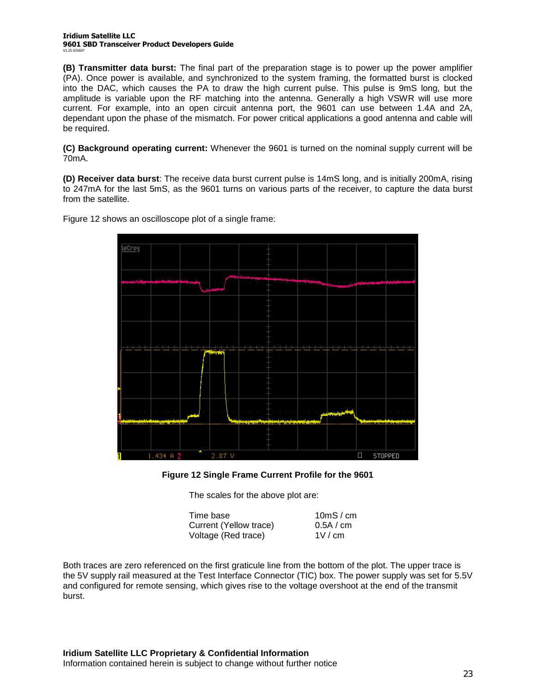#### **Iridium Satellite LLC 9601 SBD Transceiver Product Developers Guide** V1.25 031607

**(B) Transmitter data burst:** The final part of the preparation stage is to power up the power amplifier (PA). Once power is available, and synchronized to the system framing, the formatted burst is clocked into the DAC, which causes the PA to draw the high current pulse. This pulse is 9mS long, but the amplitude is variable upon the RF matching into the antenna. Generally a high VSWR will use more current. For example, into an open circuit antenna port, the 9601 can use between 1.4A and 2A, dependant upon the phase of the mismatch. For power critical applications a good antenna and cable will be required.

**(C) Background operating current:** Whenever the 9601 is turned on the nominal supply current will be 70mA.

**(D) Receiver data burst**: The receive data burst current pulse is 14mS long, and is initially 200mA, rising to 247mA for the last 5mS, as the 9601 turns on various parts of the receiver, to capture the data burst from the satellite.

Figure 12 shows an oscilloscope plot of a single frame:



#### **Figure 12 Single Frame Current Profile for the 9601**

The scales for the above plot are:

| Time base              | 10 $ms$ / cm |
|------------------------|--------------|
| Current (Yellow trace) | 0.5A / cm    |
| Voltage (Red trace)    | 1V/cm        |

Both traces are zero referenced on the first graticule line from the bottom of the plot. The upper trace is the 5V supply rail measured at the Test Interface Connector (TIC) box. The power supply was set for 5.5V and configured for remote sensing, which gives rise to the voltage overshoot at the end of the transmit burst.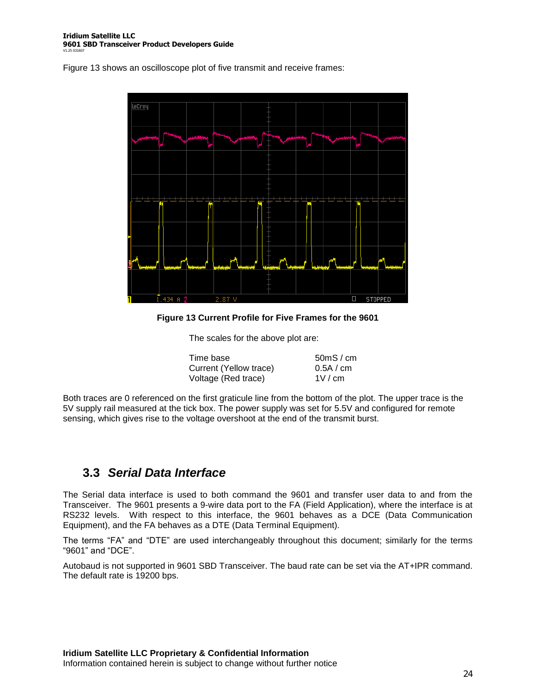Figure 13 shows an oscilloscope plot of five transmit and receive frames:



**Figure 13 Current Profile for Five Frames for the 9601**

The scales for the above plot are:

| Time base              | 50 <sub>m</sub> S/cm |
|------------------------|----------------------|
| Current (Yellow trace) | 0.5A / cm            |
| Voltage (Red trace)    | 1V/cm                |

Both traces are 0 referenced on the first graticule line from the bottom of the plot. The upper trace is the 5V supply rail measured at the tick box. The power supply was set for 5.5V and configured for remote sensing, which gives rise to the voltage overshoot at the end of the transmit burst.

### **3.3** *Serial Data Interface*

The Serial data interface is used to both command the 9601 and transfer user data to and from the Transceiver. The 9601 presents a 9-wire data port to the FA (Field Application), where the interface is at RS232 levels. With respect to this interface, the 9601 behaves as a DCE (Data Communication Equipment), and the FA behaves as a DTE (Data Terminal Equipment).

The terms "FA" and "DTE" are used interchangeably throughout this document; similarly for the terms "9601"and"DCE".

Autobaud is not supported in 9601 SBD Transceiver. The baud rate can be set via the AT+IPR command. The default rate is 19200 bps.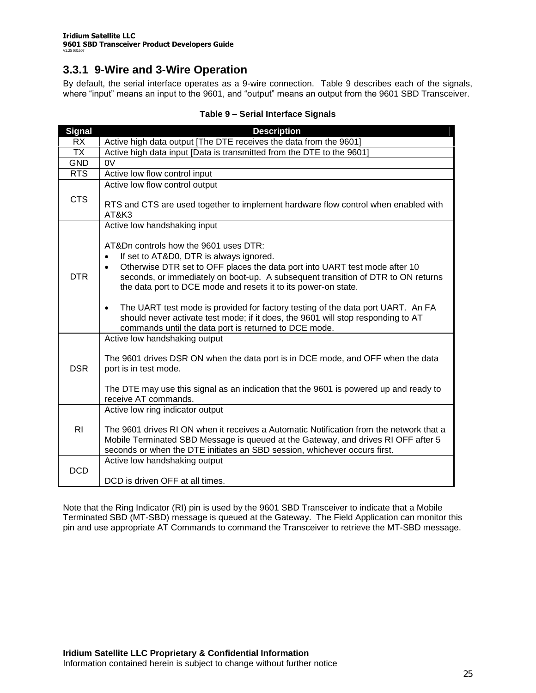### **3.3.1 9-Wire and 3-Wire Operation**

By default, the serial interface operates as a 9-wire connection. Table 9 describes each of the signals, where "input" means an input to the 9601, and "output" means an output from the 9601 SBD Transceiver.

| <b>Signal</b>  | <b>Description</b>                                                                                                                                                                                                                                                                                                                                                                                                                                                                                                                                                                                             |
|----------------|----------------------------------------------------------------------------------------------------------------------------------------------------------------------------------------------------------------------------------------------------------------------------------------------------------------------------------------------------------------------------------------------------------------------------------------------------------------------------------------------------------------------------------------------------------------------------------------------------------------|
| <b>RX</b>      | Active high data output [The DTE receives the data from the 9601]                                                                                                                                                                                                                                                                                                                                                                                                                                                                                                                                              |
| <b>TX</b>      | Active high data input [Data is transmitted from the DTE to the 9601]                                                                                                                                                                                                                                                                                                                                                                                                                                                                                                                                          |
| <b>GND</b>     | 0V                                                                                                                                                                                                                                                                                                                                                                                                                                                                                                                                                                                                             |
| <b>RTS</b>     | Active low flow control input                                                                                                                                                                                                                                                                                                                                                                                                                                                                                                                                                                                  |
| <b>CTS</b>     | Active low flow control output<br>RTS and CTS are used together to implement hardware flow control when enabled with<br>AT&K3                                                                                                                                                                                                                                                                                                                                                                                                                                                                                  |
| <b>DTR</b>     | Active low handshaking input<br>AT&Dn controls how the 9601 uses DTR:<br>If set to AT&D0, DTR is always ignored.<br>Otherwise DTR set to OFF places the data port into UART test mode after 10<br>$\bullet$<br>seconds, or immediately on boot-up. A subsequent transition of DTR to ON returns<br>the data port to DCE mode and resets it to its power-on state.<br>The UART test mode is provided for factory testing of the data port UART. An FA<br>$\bullet$<br>should never activate test mode; if it does, the 9601 will stop responding to AT<br>commands until the data port is returned to DCE mode. |
| <b>DSR</b>     | Active low handshaking output<br>The 9601 drives DSR ON when the data port is in DCE mode, and OFF when the data<br>port is in test mode.<br>The DTE may use this signal as an indication that the 9601 is powered up and ready to<br>receive AT commands.                                                                                                                                                                                                                                                                                                                                                     |
| R <sub>l</sub> | Active low ring indicator output<br>The 9601 drives RI ON when it receives a Automatic Notification from the network that a<br>Mobile Terminated SBD Message is queued at the Gateway, and drives RI OFF after 5<br>seconds or when the DTE initiates an SBD session, whichever occurs first.                                                                                                                                                                                                                                                                                                                  |
| <b>DCD</b>     | Active low handshaking output<br>DCD is driven OFF at all times.                                                                                                                                                                                                                                                                                                                                                                                                                                                                                                                                               |

### **Table 9 –Serial Interface Signals**

Note that the Ring Indicator (RI) pin is used by the 9601 SBD Transceiver to indicate that a Mobile Terminated SBD (MT-SBD) message is queued at the Gateway. The Field Application can monitor this pin and use appropriate AT Commands to command the Transceiver to retrieve the MT-SBD message.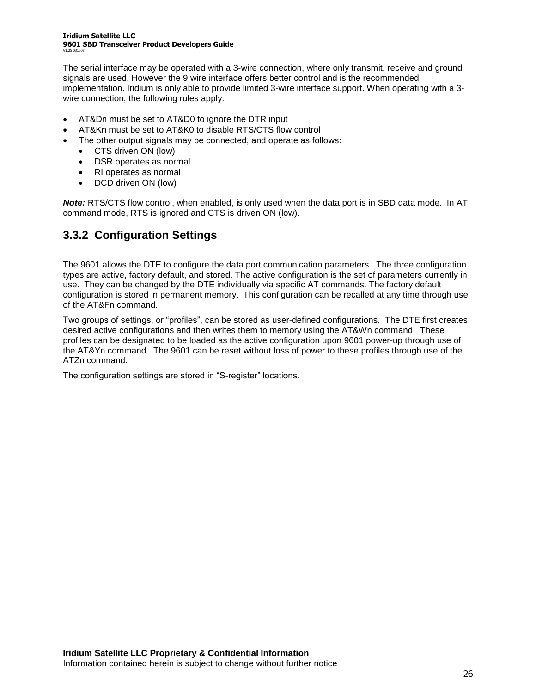#### **Iridium Satellite LLC 9601 SBD Transceiver Product Developers Guide** V1.25 031607

The serial interface may be operated with a 3-wire connection, where only transmit, receive and ground signals are used. However the 9 wire interface offers better control and is the recommended implementation. Iridium is only able to provide limited 3-wire interface support. When operating with a 3 wire connection, the following rules apply:

- AT&Dn must be set to AT&D0 to ignore the DTR input
- AT&Kn must be set to AT&K0 to disable RTS/CTS flow control
- The other output signals may be connected, and operate as follows:
	- CTS driven ON (low)
	- DSR operates as normal
	- RI operates as normal
	- DCD driven ON (low)

*Note:* RTS/CTS flow control, when enabled, is only used when the data port is in SBD data mode. In AT command mode, RTS is ignored and CTS is driven ON (low).

### **3.3.2 Configuration Settings**

The 9601 allows the DTE to configure the data port communication parameters. The three configuration types are active, factory default, and stored. The active configuration is the set of parameters currently in use. They can be changed by the DTE individually via specific AT commands. The factory default configuration is stored in permanent memory. This configuration can be recalled at any time through use of the AT&Fn command.

Two groups of settings, or "profiles", can be stored as user-defined configurations. The DTE first creates desired active configurations and then writes them to memory using the AT&Wn command. These profiles can be designated to be loaded as the active configuration upon 9601 power-up through use of the AT&Yn command. The 9601 can be reset without loss of power to these profiles through use of the ATZn command.

The configuration settings are stored in "S-register" locations.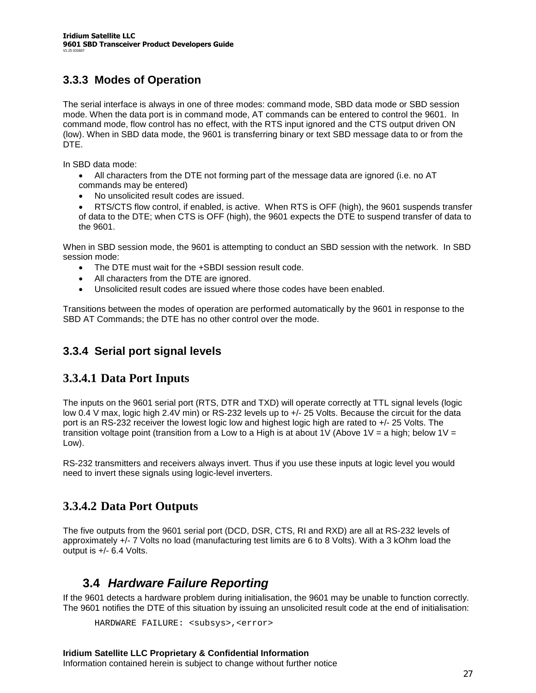### **3.3.3 Modes of Operation**

The serial interface is always in one of three modes: command mode, SBD data mode or SBD session mode. When the data port is in command mode, AT commands can be entered to control the 9601. In command mode, flow control has no effect, with the RTS input ignored and the CTS output driven ON (low). When in SBD data mode, the 9601 is transferring binary or text SBD message data to or from the DTE.

In SBD data mode:

- All characters from the DTE not forming part of the message data are ignored (i.e. no AT commands may be entered)
- No unsolicited result codes are issued.

 RTS/CTS flow control, if enabled, is active. When RTS is OFF (high), the 9601 suspends transfer of data to the DTE; when CTS is OFF (high), the 9601 expects the DTE to suspend transfer of data to the 9601.

When in SBD session mode, the 9601 is attempting to conduct an SBD session with the network. In SBD session mode:

- The DTE must wait for the +SBDI session result code.
- All characters from the DTE are ignored.
- Unsolicited result codes are issued where those codes have been enabled.

Transitions between the modes of operation are performed automatically by the 9601 in response to the SBD AT Commands; the DTE has no other control over the mode.

### **3.3.4 Serial port signal levels**

### **3.3.4.1 Data Port Inputs**

The inputs on the 9601 serial port (RTS, DTR and TXD) will operate correctly at TTL signal levels (logic low 0.4 V max, logic high 2.4V min) or RS-232 levels up to  $+/$ - 25 Volts. Because the circuit for the data port is an RS-232 receiver the lowest logic low and highest logic high are rated to +/- 25 Volts. The transition voltage point (transition from a Low to a High is at about 1V (Above 1V = a high; below 1V = Low).

RS-232 transmitters and receivers always invert. Thus if you use these inputs at logic level you would need to invert these signals using logic-level inverters.

### **3.3.4.2 Data Port Outputs**

The five outputs from the 9601 serial port (DCD, DSR, CTS, RI and RXD) are all at RS-232 levels of approximately +/- 7 Volts no load (manufacturing test limits are 6 to 8 Volts). With a 3 kOhm load the output is +/- 6.4 Volts.

### **3.4** *Hardware Failure Reporting*

If the 9601 detects a hardware problem during initialisation, the 9601 may be unable to function correctly. The 9601 notifies the DTE of this situation by issuing an unsolicited result code at the end of initialisation:

```
HARDWARE FAILURE: <subsys>,<error>
```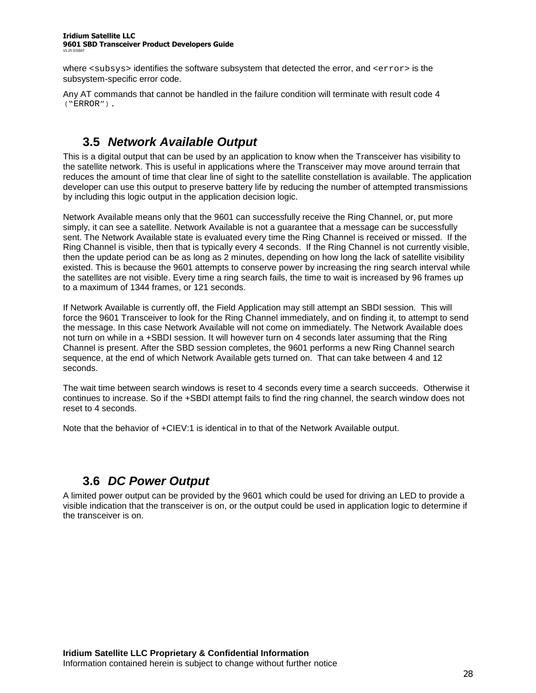where <subsys> identifies the software subsystem that detected the error, and <error> is the subsystem-specific error code.

Any AT commands that cannot be handled in the failure condition will terminate with result code 4 ("ERROR").

# **3.5** *Network Available Output*

This is a digital output that can be used by an application to know when the Transceiver has visibility to the satellite network. This is useful in applications where the Transceiver may move around terrain that reduces the amount of time that clear line of sight to the satellite constellation is available. The application developer can use this output to preserve battery life by reducing the number of attempted transmissions by including this logic output in the application decision logic.

Network Available means only that the 9601 can successfully receive the Ring Channel, or, put more simply, it can see a satellite. Network Available is not a guarantee that a message can be successfully sent. The Network Available state is evaluated every time the Ring Channel is received or missed. If the Ring Channel is visible, then that is typically every 4 seconds. If the Ring Channel is not currently visible, then the update period can be as long as 2 minutes, depending on how long the lack of satellite visibility existed. This is because the 9601 attempts to conserve power by increasing the ring search interval while the satellites are not visible. Every time a ring search fails, the time to wait is increased by 96 frames up to a maximum of 1344 frames, or 121 seconds.

If Network Available is currently off, the Field Application may still attempt an SBDI session. This will force the 9601 Transceiver to look for the Ring Channel immediately, and on finding it, to attempt to send the message. In this case Network Available will not come on immediately. The Network Available does not turn on while in a +SBDI session. It will however turn on 4 seconds later assuming that the Ring Channel is present. After the SBD session completes, the 9601 performs a new Ring Channel search sequence, at the end of which Network Available gets turned on. That can take between 4 and 12 seconds.

The wait time between search windows is reset to 4 seconds every time a search succeeds. Otherwise it continues to increase. So if the +SBDI attempt fails to find the ring channel, the search window does not reset to 4 seconds.

Note that the behavior of +CIEV:1 is identical in to that of the Network Available output.

# **3.6** *DC Power Output*

A limited power output can be provided by the 9601 which could be used for driving an LED to provide a visible indication that the transceiver is on, or the output could be used in application logic to determine if the transceiver is on.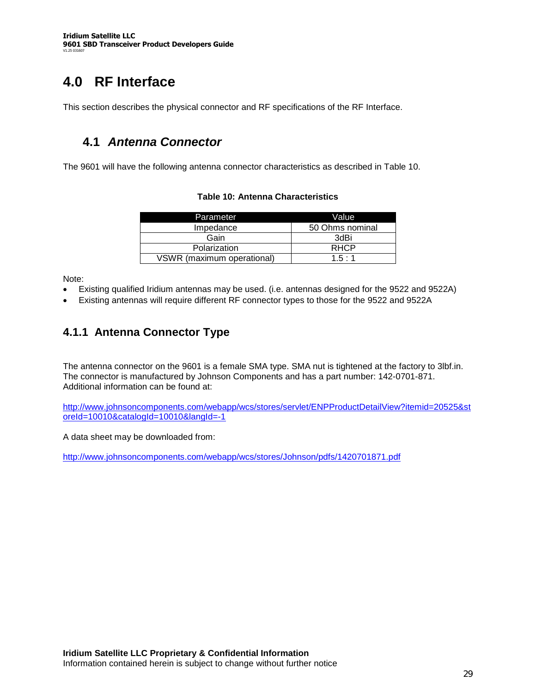# **4.0 RF Interface**

This section describes the physical connector and RF specifications of the RF Interface.

### **4.1** *Antenna Connector*

The 9601 will have the following antenna connector characteristics as described in Table 10.

| Parameter                  | Value           |
|----------------------------|-----------------|
| Impedance                  | 50 Ohms nominal |
| Gain                       | 3dBi            |
| Polarization               | <b>RHCP</b>     |
| VSWR (maximum operational) | 1.5:1           |

### **Table 10: Antenna Characteristics**

Note:

- Existing qualified Iridium antennas may be used. (i.e. antennas designed for the 9522 and 9522A)
- Existing antennas will require different RF connector types to those for the 9522 and 9522A

### **4.1.1 Antenna Connector Type**

The antenna connector on the 9601 is a female SMA type. SMA nut is tightened at the factory to 3lbf.in. The connector is manufactured by Johnson Components and has a part number: 142-0701-871. Additional information can be found at:

http://www.johnsoncomponents.com/webapp/wcs/stores/servlet/ENPProductDetailView?itemid=20525&st oreId=10010&catalogId=10010&langId=-1

A data sheet may be downloaded from:

http://www.johnsoncomponents.com/webapp/wcs/stores/Johnson/pdfs/1420701871.pdf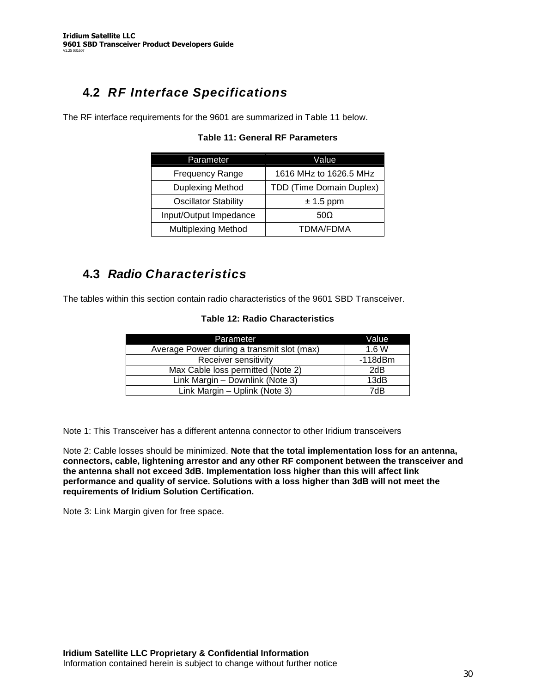# **4.2** *RF Interface Specifications*

The RF interface requirements for the 9601 are summarized in Table 11 below.

| Parameter                   | Value                    |
|-----------------------------|--------------------------|
| <b>Frequency Range</b>      | 1616 MHz to 1626.5 MHz   |
| <b>Duplexing Method</b>     | TDD (Time Domain Duplex) |
| <b>Oscillator Stability</b> | $\pm$ 1.5 ppm            |
| Input/Output Impedance      | 500                      |
| <b>Multiplexing Method</b>  | TDMA/FDMA                |

### **Table 11: General RF Parameters**

## **4.3** *Radio Characteristics*

The tables within this section contain radio characteristics of the 9601 SBD Transceiver.

### **Table 12: Radio Characteristics**

| Parameter                                  | Value         |
|--------------------------------------------|---------------|
| Average Power during a transmit slot (max) | 1.6W          |
| Receiver sensitivity                       | $-118$ d $Bm$ |
| Max Cable loss permitted (Note 2)          | 2dB           |
| Link Margin - Downlink (Note 3)            | 13dB          |
| Link Margin - Uplink (Note 3)              | 7dB           |

Note 1: This Transceiver has a different antenna connector to other Iridium transceivers

Note 2: Cable losses should be minimized. **Note that the total implementation loss for an antenna, connectors, cable, lightening arrestor and any other RF component between the transceiver and the antenna shall not exceed 3dB. Implementation loss higher than this will affect link performance and quality of service. Solutions with a loss higher than 3dB will not meet the requirements of Iridium Solution Certification.**

Note 3: Link Margin given for free space.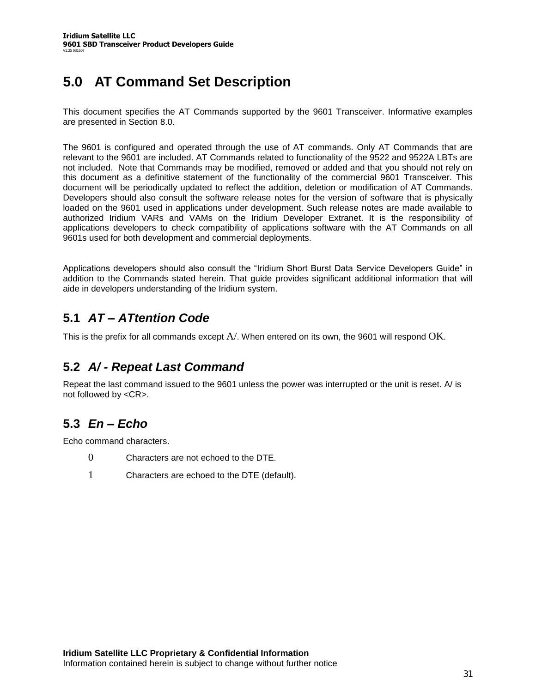# **5.0 AT Command Set Description**

This document specifies the AT Commands supported by the 9601 Transceiver. Informative examples are presented in Section 8.0.

The 9601 is configured and operated through the use of AT commands. Only AT Commands that are relevant to the 9601 are included. AT Commands related to functionality of the 9522 and 9522A LBTs are not included. Note that Commands may be modified, removed or added and that you should not rely on this document as a definitive statement of the functionality of the commercial 9601 Transceiver. This document will be periodically updated to reflect the addition, deletion or modification of AT Commands. Developers should also consult the software release notes for the version of software that is physically loaded on the 9601 used in applications under development. Such release notes are made available to authorized Iridium VARs and VAMs on the Iridium Developer Extranet. It is the responsibility of applications developers to check compatibility of applications software with the AT Commands on all 9601s used for both development and commercial deployments.

Applications developers should also consult the "Iridium Short Burst Data Service Developers Guide" in addition to the Commands stated herein. That guide provides significant additional information that will aide in developers understanding of the Iridium system.

## **5.1** *AT –ATtention Code*

This is the prefix for all commands except A/. When entered on its own, the 9601 will respond OK.

### **5.2** *A/ - Repeat Last Command*

Repeat the last command issued to the 9601 unless the power was interrupted or the unit is reset. A/ is not followed by <CR>.

## **5.3** *En –Echo*

Echo command characters.

- 0 Characters are not echoed to the DTE.
- 1 Characters are echoed to the DTE (default).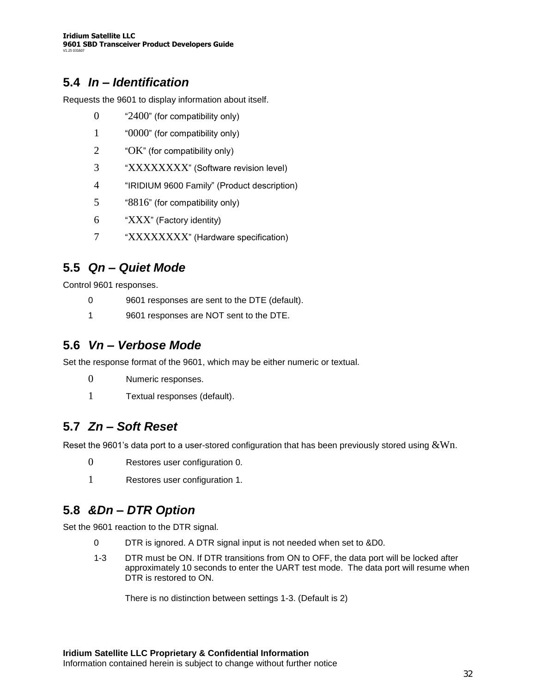### **5.4** *In –Identification*

Requests the 9601 to display information about itself.

- 0 "2400" (for compatibility only)
- 1 "0000" (for compatibility only)
- 2 "OK" (for compatibility only)
- 3 "XXXXXXXX" (Software revision level)
- 4 "IRIDIUM 9600 Family" (Product description)
- 5 "8816" (for compatibility only)
- 6 "XXX"(Factory identity)
- 7 "XXXXXXXX" (Hardware specification)

### **5.5** *Qn –Quiet Mode*

Control 9601 responses.

- 0 9601 responses are sent to the DTE (default).
- 1 9601 responses are NOT sent to the DTE.

### **5.6** *Vn –Verbose Mode*

Set the response format of the 9601, which may be either numeric or textual.

- 0 Numeric responses.
- 1 Textual responses (default).

### **5.7** *Zn –Soft Reset*

Reset the 9601's data port to a user-stored configuration that has been previously stored using  $&Wn$ .

- 0 Restores user configuration 0.
- 1 Restores user configuration 1.

### **5.8** *&Dn –DTR Option*

Set the 9601 reaction to the DTR signal.

- 0 DTR is ignored. A DTR signal input is not needed when set to &D0.
- 1-3 DTR must be ON. If DTR transitions from ON to OFF, the data port will be locked after approximately 10 seconds to enter the UART test mode. The data port will resume when DTR is restored to ON.

There is no distinction between settings 1-3. (Default is 2)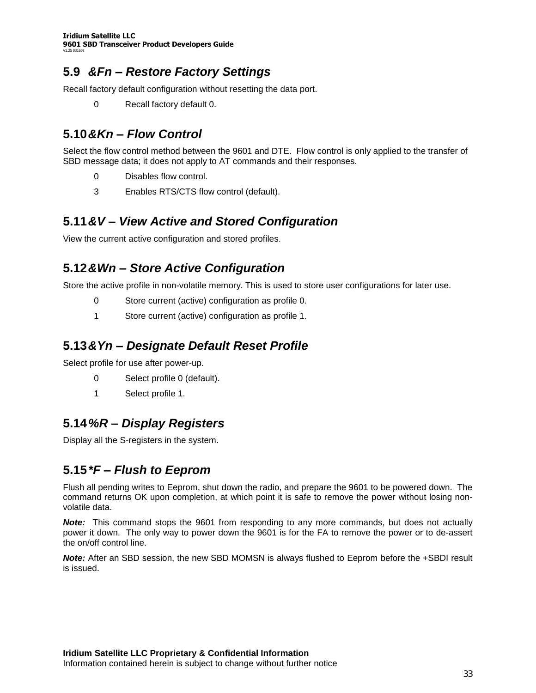### **5.9** *&Fn –Restore Factory Settings*

Recall factory default configuration without resetting the data port.

0 Recall factory default 0.

## **5.10***&Kn –Flow Control*

Select the flow control method between the 9601 and DTE. Flow control is only applied to the transfer of SBD message data; it does not apply to AT commands and their responses.

- 0 Disables flow control.
- 3 Enables RTS/CTS flow control (default).

### **5.11***&V –View Active and Stored Configuration*

View the current active configuration and stored profiles.

### **5.12***&Wn –Store Active Configuration*

Store the active profile in non-volatile memory. This is used to store user configurations for later use.

- 0 Store current (active) configuration as profile 0.
- 1 Store current (active) configuration as profile 1.

### **5.13***&Yn –Designate Default Reset Profile*

Select profile for use after power-up.

- 0 Select profile 0 (default).
- 1 Select profile 1.

### **5.14***%R –Display Registers*

Display all the S-registers in the system.

## **5.15***\*F –Flush to Eeprom*

Flush all pending writes to Eeprom, shut down the radio, and prepare the 9601 to be powered down. The command returns OK upon completion, at which point it is safe to remove the power without losing nonvolatile data.

*Note:* This command stops the 9601 from responding to any more commands, but does not actually power it down. The only way to power down the 9601 is for the FA to remove the power or to de-assert the on/off control line.

*Note:* After an SBD session, the new SBD MOMSN is always flushed to Eeprom before the +SBDI result is issued.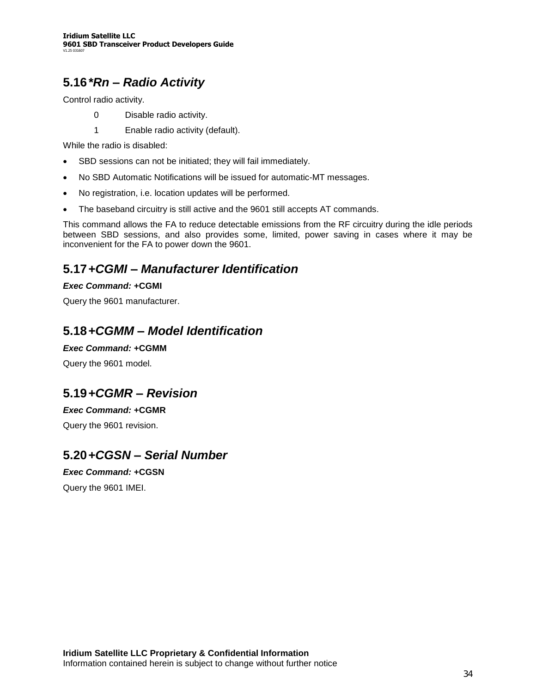# **5.16***\*Rn –Radio Activity*

Control radio activity.

- 0 Disable radio activity.
- 1 Enable radio activity (default).

While the radio is disabled:

- SBD sessions can not be initiated; they will fail immediately.
- No SBD Automatic Notifications will be issued for automatic-MT messages.
- No registration, i.e. location updates will be performed.
- The baseband circuitry is still active and the 9601 still accepts AT commands.

This command allows the FA to reduce detectable emissions from the RF circuitry during the idle periods between SBD sessions, and also provides some, limited, power saving in cases where it may be inconvenient for the FA to power down the 9601.

### **5.17***+CGMI –Manufacturer Identification*

### *Exec Command:* **+CGMI**

Query the 9601 manufacturer.

### **5.18***+CGMM –Model Identification*

### *Exec Command:* **+CGMM**

Query the 9601 model.

### **5.19***+CGMR –Revision*

### *Exec Command:* **+CGMR**

Query the 9601 revision.

### **5.20***+CGSN –Serial Number*

### *Exec Command:* **+CGSN**

Query the 9601 IMEI.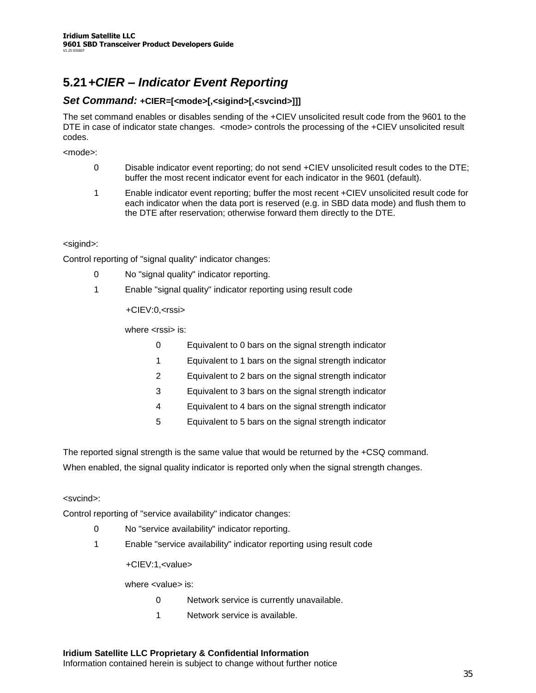# **5.21***+CIER –Indicator Event Reporting*

### *Set Command:* **+CIER=[<mode>[,<sigind>[,<svcind>]]]**

The set command enables or disables sending of the +CIEV unsolicited result code from the 9601 to the DTE in case of indicator state changes. <mode> controls the processing of the +CIEV unsolicited result codes.

<mode>:

- 0 Disable indicator event reporting; do not send +CIEV unsolicited result codes to the DTE; buffer the most recent indicator event for each indicator in the 9601 (default).
- 1 Enable indicator event reporting; buffer the most recent +CIEV unsolicited result code for each indicator when the data port is reserved (e.g. in SBD data mode) and flush them to the DTE after reservation; otherwise forward them directly to the DTE.

#### <sigind>:

Control reporting of "signal quality" indicator changes:

- 0 No "signal quality" indicator reporting.
- 1 Enable "signal quality" indicator reporting using result code

+CIEV:0,<rssi>

where  $\langle$ rssi $>$  is:

- 0 Equivalent to 0 bars on the signal strength indicator
- 1 Equivalent to 1 bars on the signal strength indicator
- 2 Equivalent to 2 bars on the signal strength indicator
- 3 Equivalent to 3 bars on the signal strength indicator
- 4 Equivalent to 4 bars on the signal strength indicator
- 5 Equivalent to 5 bars on the signal strength indicator

The reported signal strength is the same value that would be returned by the +CSQ command. When enabled, the signal quality indicator is reported only when the signal strength changes.

#### <svcind>:

Control reporting of "service availability" indicator changes:

- 0 No "service availability" indicator reporting.
- 1 Enable "service availability" indicator reporting using result code

+CIEV:1,<value>

where <value> is:

- 0 Network service is currently unavailable.
- 1 Network service is available.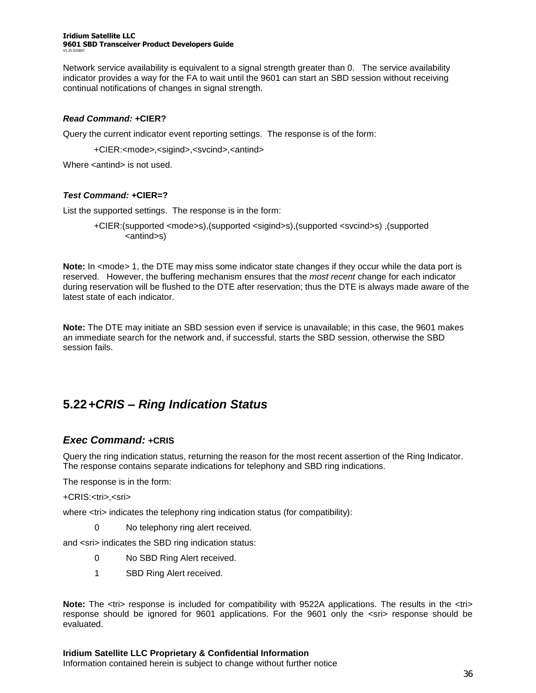#### **Iridium Satellite LLC 9601 SBD Transceiver Product Developers Guide** V1.25 031607

Network service availability is equivalent to a signal strength greater than 0. The service availability indicator provides a way for the FA to wait until the 9601 can start an SBD session without receiving continual notifications of changes in signal strength.

### *Read Command:* **+CIER?**

Query the current indicator event reporting settings. The response is of the form:

+CIER:<mode>,<sigind>,<svcind>,<antind>

Where <antind> is not used.

### *Test Command:* **+CIER=?**

List the supported settings. The response is in the form:

+CIER:(supported <mode>s),(supported <sigind>s),(supported <svcind>s) ,(supported <antind>s)

**Note:** In <mode> 1, the DTE may miss some indicator state changes if they occur while the data port is reserved. However, the buffering mechanism ensures that the *most recent* change for each indicator during reservation will be flushed to the DTE after reservation; thus the DTE is always made aware of the latest state of each indicator.

**Note:** The DTE may initiate an SBD session even if service is unavailable; in this case, the 9601 makes an immediate search for the network and, if successful, starts the SBD session, otherwise the SBD session fails.

### **5.22***+CRIS –Ring Indication Status*

### *Exec Command:* **+CRIS**

Query the ring indication status, returning the reason for the most recent assertion of the Ring Indicator. The response contains separate indications for telephony and SBD ring indications.

The response is in the form:

+CRIS:<tri>,<sri>

where  $\langle$ tri> indicates the telephony ring indication status (for compatibility):

0 No telephony ring alert received.

and <sri> indicates the SBD ring indication status:

- 0 No SBD Ring Alert received.
- 1 SBD Ring Alert received.

**Note:** The <tri> response is included for compatibility with 9522A applications. The results in the <tri> response should be ignored for 9601 applications. For the 9601 only the <sri> response should be evaluated.

**Iridium Satellite LLC Proprietary & Confidential Information** Information contained herein is subject to change without further notice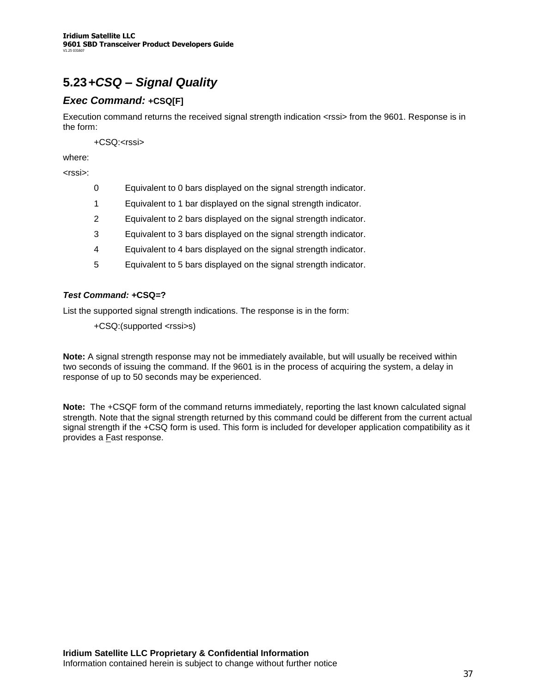# **5.23***+CSQ –Signal Quality*

### *Exec Command:* **+CSQ[F]**

Execution command returns the received signal strength indication <rssi> from the 9601. Response is in the form:

+CSQ:<rssi>

where:

<rssi>:

- 0 Equivalent to 0 bars displayed on the signal strength indicator.
- 1 Equivalent to 1 bar displayed on the signal strength indicator.
- 2 Equivalent to 2 bars displayed on the signal strength indicator.
- 3 Equivalent to 3 bars displayed on the signal strength indicator.
- 4 Equivalent to 4 bars displayed on the signal strength indicator.
- 5 Equivalent to 5 bars displayed on the signal strength indicator.

### *Test Command:* **+CSQ=?**

List the supported signal strength indications. The response is in the form:

+CSQ:(supported <rssi>s)

**Note:** A signal strength response may not be immediately available, but will usually be received within two seconds of issuing the command. If the 9601 is in the process of acquiring the system, a delay in response of up to 50 seconds may be experienced.

**Note:** The +CSQF form of the command returns immediately, reporting the last known calculated signal strength. Note that the signal strength returned by this command could be different from the current actual signal strength if the +CSQ form is used. This form is included for developer application compatibility as it provides a Fast response.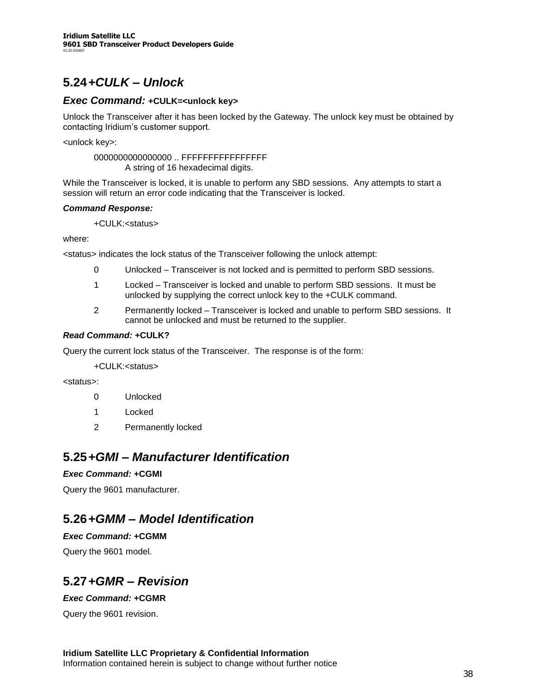### **5.24***+CULK –Unlock*

### *Exec Command:* **+CULK=<unlock key>**

Unlock the Transceiver after it has been locked by the Gateway. The unlock key must be obtained by contacting Iridium's customer support.

<unlock key>:

0000000000000000 .. FFFFFFFFFFFFFFFF A string of 16 hexadecimal digits.

While the Transceiver is locked, it is unable to perform any SBD sessions. Any attempts to start a session will return an error code indicating that the Transceiver is locked.

### *Command Response:*

### +CULK:<status>

where:

<status> indicates the lock status of the Transceiver following the unlock attempt:

- 0 Unlocked –Transceiver is not locked and is permitted to perform SBD sessions.
- 1 Locked –Transceiver is locked and unable to perform SBD sessions. It must be unlocked by supplying the correct unlock key to the +CULK command.
- 2 Permanently locked –Transceiver is locked and unable to perform SBD sessions. It cannot be unlocked and must be returned to the supplier.

### *Read Command:* **+CULK?**

Query the current lock status of the Transceiver. The response is of the form:

+CULK:<status>

<status>:

- 0 Unlocked
- 1 Locked
- 2 Permanently locked

### **5.25***+GMI –Manufacturer Identification*

### *Exec Command:* **+CGMI**

Query the 9601 manufacturer.

### **5.26***+GMM –Model Identification*

### *Exec Command:* **+CGMM**

Query the 9601 model.

### **5.27***+GMR –Revision*

### *Exec Command:* **+CGMR**

Query the 9601 revision.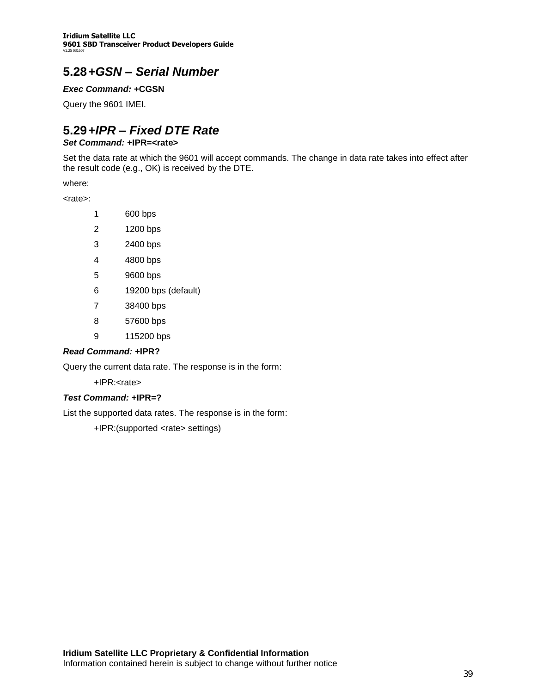**Iridium Satellite LLC 9601 SBD Transceiver Product Developers Guide** V1.25 031607

### **5.28***+GSN –Serial Number*

### *Exec Command:* **+CGSN**

Query the 9601 IMEI.

# **5.29***+IPR –Fixed DTE Rate*

### *Set Command:* **+IPR=<rate>**

Set the data rate at which the 9601 will accept commands. The change in data rate takes into effect after the result code (e.g., OK) is received by the DTE.

where:

<rate>:

- 1 600 bps
- 2 1200 bps
- 3 2400 bps
- 4 4800 bps
- 5 9600 bps
- 6 19200 bps (default)
- 7 38400 bps
- 8 57600 bps
- 9 115200 bps

### *Read Command:* **+IPR?**

Query the current data rate. The response is in the form:

+IPR:<rate>

#### *Test Command:* **+IPR=?**

List the supported data rates. The response is in the form:

+IPR:(supported <rate> settings)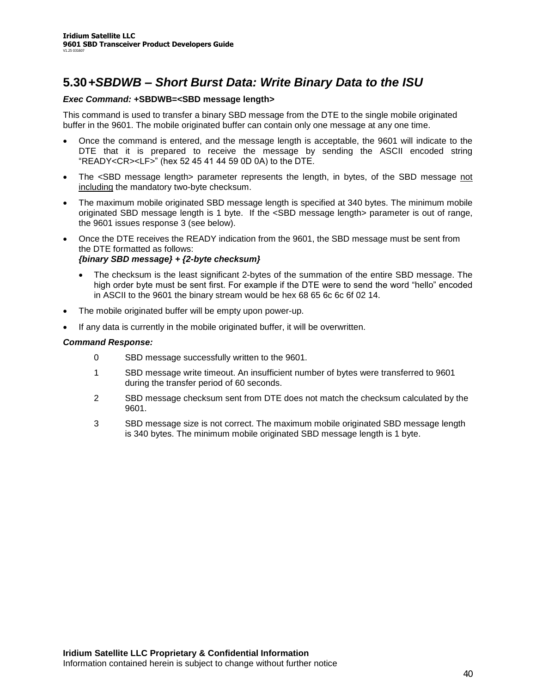### **5.30***+SBDWB –Short Burst Data: Write Binary Data to the ISU*

#### *Exec Command:* **+SBDWB=<SBD message length>**

This command is used to transfer a binary SBD message from the DTE to the single mobile originated buffer in the 9601. The mobile originated buffer can contain only one message at any one time.

- Once the command is entered, and the message length is acceptable, the 9601 will indicate to the DTE that it is prepared to receive the message by sending the ASCII encoded string "READY<CR><LF>" (hex 52 45 41 44 59 0D 0A) to the DTE.
- The <SBD message length> parameter represents the length, in bytes, of the SBD message not including the mandatory two-byte checksum.
- The maximum mobile originated SBD message length is specified at 340 bytes. The minimum mobile originated SBD message length is 1 byte. If the <SBD message length> parameter is out of range, the 9601 issues response 3 (see below).
- Once the DTE receives the READY indication from the 9601, the SBD message must be sent from the DTE formatted as follows:

### *{binary SBD message} + {2-byte checksum}*

- The checksum is the least significant 2-bytes of the summation of the entire SBD message. The high order byte must be sent first. For example if the DTE were to send the word "hello" encoded in ASCII to the 9601 the binary stream would be hex 68 65 6c 6c 6f 02 14.
- The mobile originated buffer will be empty upon power-up.
- If any data is currently in the mobile originated buffer, it will be overwritten.

#### *Command Response:*

- 0 SBD message successfully written to the 9601.
- 1 SBD message write timeout. An insufficient number of bytes were transferred to 9601 during the transfer period of 60 seconds.
- 2 SBD message checksum sent from DTE does not match the checksum calculated by the 9601.
- 3 SBD message size is not correct. The maximum mobile originated SBD message length is 340 bytes. The minimum mobile originated SBD message length is 1 byte.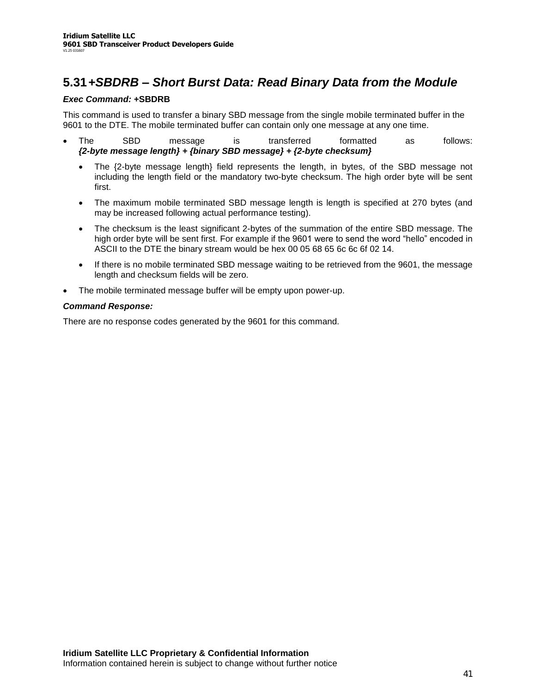### **5.31***+SBDRB –Short Burst Data: Read Binary Data from the Module*

### *Exec Command:* **+SBDRB**

This command is used to transfer a binary SBD message from the single mobile terminated buffer in the 9601 to the DTE. The mobile terminated buffer can contain only one message at any one time.

- The SBD message is transferred formatted as follows: *{2-byte message length} + {binary SBD message} + {2-byte checksum}*
	- The {2-byte message length} field represents the length, in bytes, of the SBD message not including the length field or the mandatory two-byte checksum. The high order byte will be sent first.
	- The maximum mobile terminated SBD message length is length is specified at 270 bytes (and may be increased following actual performance testing).
	- The checksum is the least significant 2-bytes of the summation of the entire SBD message. The high order byte will be sent first. For example if the 9601 were to send the word "hello" encoded in ASCII to the DTE the binary stream would be hex 00 05 68 65 6c 6c 6f 02 14.
	- If there is no mobile terminated SBD message waiting to be retrieved from the 9601, the message length and checksum fields will be zero.
- The mobile terminated message buffer will be empty upon power-up.

### *Command Response:*

There are no response codes generated by the 9601 for this command.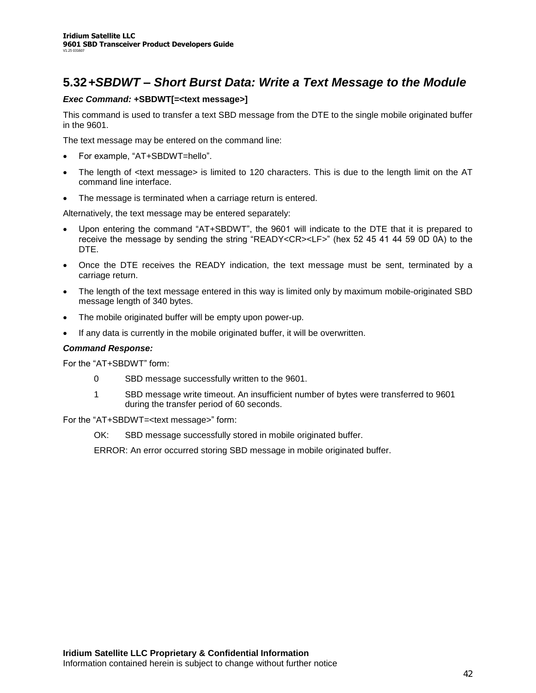### **5.32***+SBDWT –Short Burst Data: Write a Text Message to the Module*

### *Exec Command:* **+SBDWT[=<text message>]**

This command is used to transfer a text SBD message from the DTE to the single mobile originated buffer in the 9601.

The text message may be entered on the command line:

- For example, "AT+SBDWT=hello".
- The length of <text message> is limited to 120 characters. This is due to the length limit on the AT command line interface.
- The message is terminated when a carriage return is entered.

Alternatively, the text message may be entered separately:

- Upon entering the command "AT+SBDWT", the 9601 will indicate to the DTE that it is prepared to receive the message by sending the string "READY<CR><LF>" (hex 52 45 41 44 59 0D 0A) to the DTE.
- Once the DTE receives the READY indication, the text message must be sent, terminated by a carriage return.
- The length of the text message entered in this way is limited only by maximum mobile-originated SBD message length of 340 bytes.
- The mobile originated buffer will be empty upon power-up.
- If any data is currently in the mobile originated buffer, it will be overwritten.

#### *Command Response:*

For the "AT+SBDWT" form:

- 0 SBD message successfully written to the 9601.
- 1 SBD message write timeout. An insufficient number of bytes were transferred to 9601 during the transfer period of 60 seconds.

For the "AT+SBDWT=<text message>" form:

OK: SBD message successfully stored in mobile originated buffer.

ERROR: An error occurred storing SBD message in mobile originated buffer.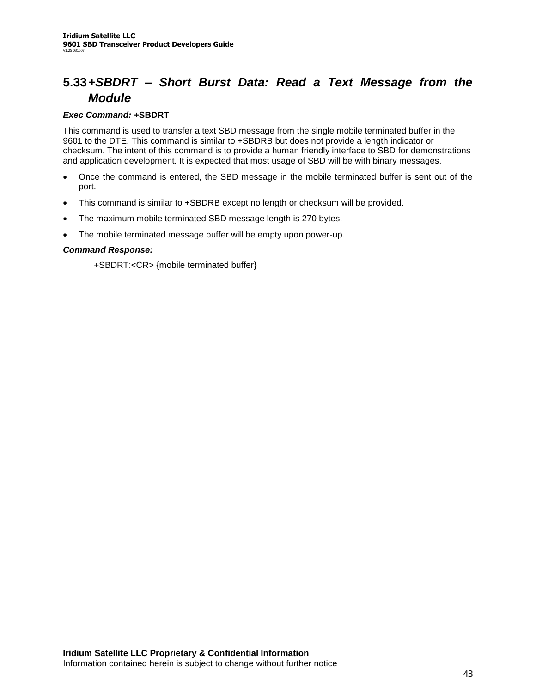## **5.33***+SBDRT –Short Burst Data: Read a Text Message from the Module*

### *Exec Command:* **+SBDRT**

This command is used to transfer a text SBD message from the single mobile terminated buffer in the 9601 to the DTE. This command is similar to +SBDRB but does not provide a length indicator or checksum. The intent of this command is to provide a human friendly interface to SBD for demonstrations and application development. It is expected that most usage of SBD will be with binary messages.

- Once the command is entered, the SBD message in the mobile terminated buffer is sent out of the port.
- This command is similar to +SBDRB except no length or checksum will be provided.
- The maximum mobile terminated SBD message length is 270 bytes.
- The mobile terminated message buffer will be empty upon power-up.

### *Command Response:*

+SBDRT:<CR> {mobile terminated buffer}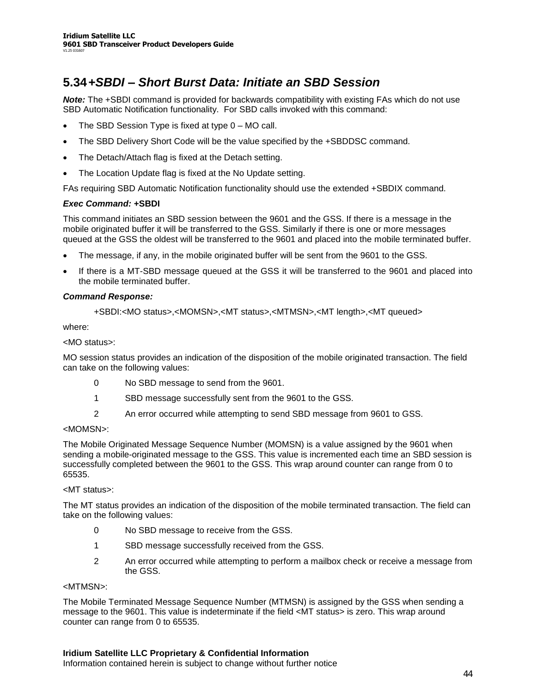### **5.34***+SBDI –Short Burst Data: Initiate an SBD Session*

*Note:* The +SBDI command is provided for backwards compatibility with existing FAs which do not use SBD Automatic Notification functionality. For SBD calls invoked with this command:

- The SBD Session Type is fixed at type  $0 MO$  call.
- The SBD Delivery Short Code will be the value specified by the +SBDDSC command.
- The Detach/Attach flag is fixed at the Detach setting.
- The Location Update flag is fixed at the No Update setting.

FAs requiring SBD Automatic Notification functionality should use the extended +SBDIX command.

#### *Exec Command:* **+SBDI**

This command initiates an SBD session between the 9601 and the GSS. If there is a message in the mobile originated buffer it will be transferred to the GSS. Similarly if there is one or more messages queued at the GSS the oldest will be transferred to the 9601 and placed into the mobile terminated buffer.

- The message, if any, in the mobile originated buffer will be sent from the 9601 to the GSS.
- If there is a MT-SBD message queued at the GSS it will be transferred to the 9601 and placed into the mobile terminated buffer.

### *Command Response:*

+SBDI:<MO status>,<MOMSN>,<MT status>,<MTMSN>,<MT length>,<MT queued>

where:

<MO status>:

MO session status provides an indication of the disposition of the mobile originated transaction. The field can take on the following values:

- 0 No SBD message to send from the 9601.
- 1 SBD message successfully sent from the 9601 to the GSS.
- 2 An error occurred while attempting to send SBD message from 9601 to GSS.

#### <MOMSN>:

The Mobile Originated Message Sequence Number (MOMSN) is a value assigned by the 9601 when sending a mobile-originated message to the GSS. This value is incremented each time an SBD session is successfully completed between the 9601 to the GSS. This wrap around counter can range from 0 to 65535.

### <MT status>:

The MT status provides an indication of the disposition of the mobile terminated transaction. The field can take on the following values:

- 0 No SBD message to receive from the GSS.
- 1 SBD message successfully received from the GSS.
- 2 An error occurred while attempting to perform a mailbox check or receive a message from the GSS.

#### <MTMSN>:

The Mobile Terminated Message Sequence Number (MTMSN) is assigned by the GSS when sending a message to the 9601. This value is indeterminate if the field <MT status> is zero. This wrap around counter can range from 0 to 65535.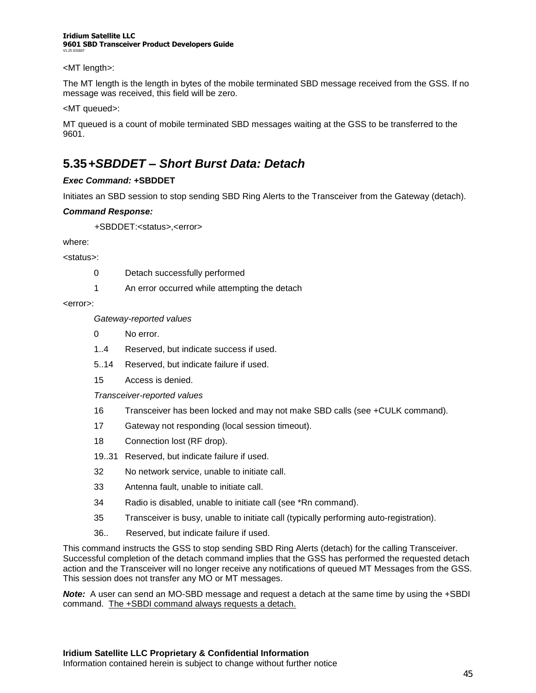#### **Iridium Satellite LLC 9601 SBD Transceiver Product Developers Guide** V1.25 031607

#### <MT length>:

The MT length is the length in bytes of the mobile terminated SBD message received from the GSS. If no message was received, this field will be zero.

<MT queued>:

MT queued is a count of mobile terminated SBD messages waiting at the GSS to be transferred to the 9601.

## **5.35***+SBDDET –Short Burst Data: Detach*

### *Exec Command:* **+SBDDET**

Initiates an SBD session to stop sending SBD Ring Alerts to the Transceiver from the Gateway (detach).

### *Command Response:*

+SBDDET:<status>,<error>

where:

<status>:

- 0 Detach successfully performed
- 1 An error occurred while attempting the detach

<error>:

*Gateway-reported values*

- 0 No error.
- 1..4 Reserved, but indicate success if used.
- 5..14 Reserved, but indicate failure if used.
- 15 Access is denied.

*Transceiver-reported values*

- 16 Transceiver has been locked and may not make SBD calls (see +CULK command).
- 17 Gateway not responding (local session timeout).
- 18 Connection lost (RF drop).
- 19..31 Reserved, but indicate failure if used.
- 32 No network service, unable to initiate call.
- 33 Antenna fault, unable to initiate call.
- 34 Radio is disabled, unable to initiate call (see \*Rn command).
- 35 Transceiver is busy, unable to initiate call (typically performing auto-registration).
- 36.. Reserved, but indicate failure if used.

This command instructs the GSS to stop sending SBD Ring Alerts (detach) for the calling Transceiver. Successful completion of the detach command implies that the GSS has performed the requested detach action and the Transceiver will no longer receive any notifications of queued MT Messages from the GSS. This session does not transfer any MO or MT messages.

*Note:* A user can send an MO-SBD message and request a detach at the same time by using the +SBDI command. The +SBDI command always requests a detach.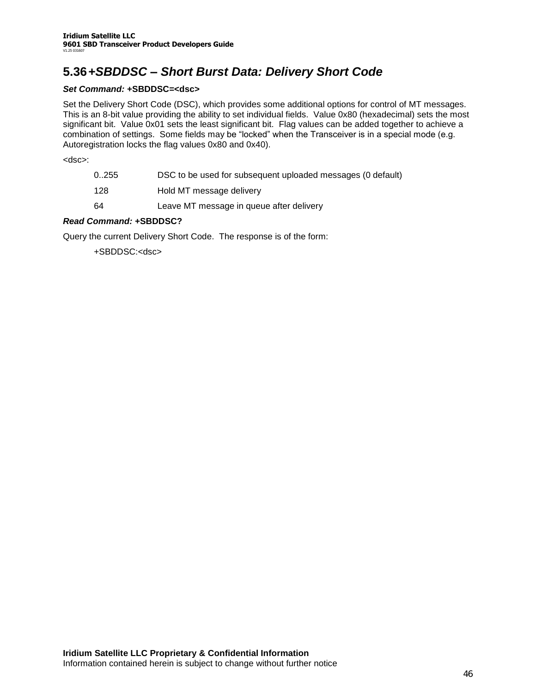## **5.36***+SBDDSC –Short Burst Data: Delivery Short Code*

### *Set Command:* **+SBDDSC=<dsc>**

Set the Delivery Short Code (DSC), which provides some additional options for control of MT messages. This is an 8-bit value providing the ability to set individual fields. Value 0x80 (hexadecimal) sets the most significant bit. Value 0x01 sets the least significant bit. Flag values can be added together to achieve a combination of settings. Some fields may be "locked" when the Transceiver is in a special mode (e.g. Autoregistration locks the flag values 0x80 and 0x40).

<dsc>:

| 0255 | DSC to be used for subsequent uploaded messages (0 default) |
|------|-------------------------------------------------------------|
| 128  | Hold MT message delivery                                    |
| 64   | Leave MT message in queue after delivery                    |

### *Read Command:* **+SBDDSC?**

Query the current Delivery Short Code. The response is of the form:

+SBDDSC:<dsc>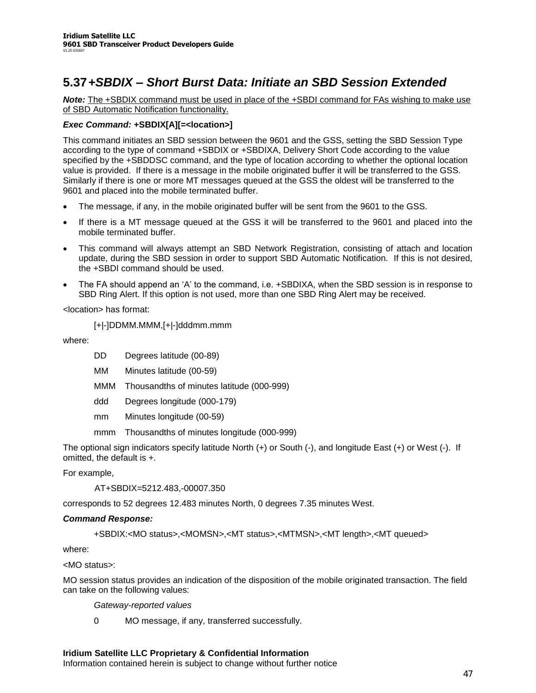## **5.37***+SBDIX –Short Burst Data: Initiate an SBD Session Extended*

*Note:* The +SBDIX command must be used in place of the +SBDI command for FAs wishing to make use of SBD Automatic Notification functionality.

### *Exec Command:* **+SBDIX[A][=<location>]**

This command initiates an SBD session between the 9601 and the GSS, setting the SBD Session Type according to the type of command +SBDIX or +SBDIXA, Delivery Short Code according to the value specified by the +SBDDSC command, and the type of location according to whether the optional location value is provided. If there is a message in the mobile originated buffer it will be transferred to the GSS. Similarly if there is one or more MT messages queued at the GSS the oldest will be transferred to the 9601 and placed into the mobile terminated buffer.

- The message, if any, in the mobile originated buffer will be sent from the 9601 to the GSS.
- If there is a MT message queued at the GSS it will be transferred to the 9601 and placed into the mobile terminated buffer.
- This command will always attempt an SBD Network Registration, consisting of attach and location update, during the SBD session in order to support SBD Automatic Notification. If this is not desired, the +SBDI command should be used.
- The FA should append an 'A' to the command, i.e. +SBDIXA, when the SBD session is in response to SBD Ring Alert. If this option is not used, more than one SBD Ring Alert may be received.

<location> has format:

```
[+|-]DDMM.MMM,[+|-]dddmm.mmm
```
where:

- DD Degrees latitude (00-89)
- MM Minutes latitude (00-59)
- MMM Thousandths of minutes latitude (000-999)
- ddd Degrees longitude (000-179)
- mm Minutes longitude (00-59)
- mmm Thousandths of minutes longitude (000-999)

The optional sign indicators specify latitude North (+) or South (-), and longitude East (+) or West (-). If omitted, the default is +.

For example,

AT+SBDIX=5212.483,-00007.350

corresponds to 52 degrees 12.483 minutes North, 0 degrees 7.35 minutes West.

#### *Command Response:*

+SBDIX:<MO status>,<MOMSN>,<MT status>,<MTMSN>,<MT length>,<MT queued>

where:

<MO status>:

MO session status provides an indication of the disposition of the mobile originated transaction. The field can take on the following values:

*Gateway-reported values*

0 MO message, if any, transferred successfully.

#### **Iridium Satellite LLC Proprietary & Confidential Information**

Information contained herein is subject to change without further notice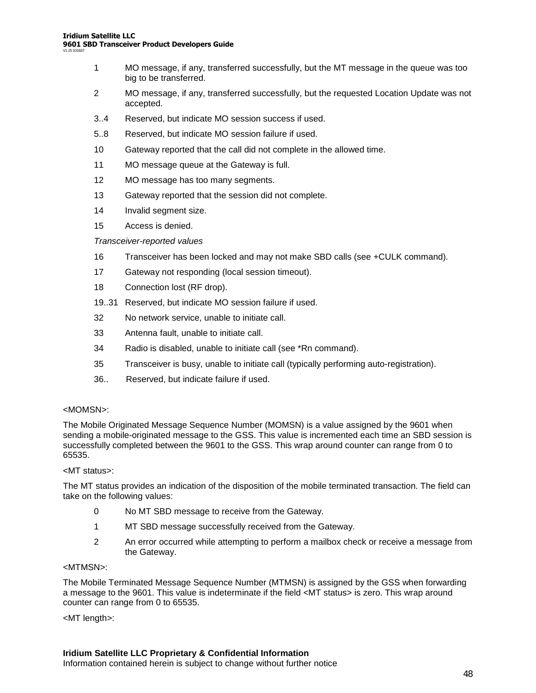- 1 MO message, if any, transferred successfully, but the MT message in the queue was too big to be transferred.
- 2 MO message, if any, transferred successfully, but the requested Location Update was not accepted.
- 3..4 Reserved, but indicate MO session success if used.
- 5..8 Reserved, but indicate MO session failure if used.
- 10 Gateway reported that the call did not complete in the allowed time.
- 11 MO message queue at the Gateway is full.
- 12 MO message has too many segments.
- 13 Gateway reported that the session did not complete.
- 14 Invalid segment size.
- 15 Access is denied.

### *Transceiver-reported values*

- 16 Transceiver has been locked and may not make SBD calls (see +CULK command).
- 17 Gateway not responding (local session timeout).
- 18 Connection lost (RF drop).
- 19..31 Reserved, but indicate MO session failure if used.
- 32 No network service, unable to initiate call.
- 33 Antenna fault, unable to initiate call.
- 34 Radio is disabled, unable to initiate call (see \*Rn command).
- 35 Transceiver is busy, unable to initiate call (typically performing auto-registration).
- 36.. Reserved, but indicate failure if used.

### <MOMSN>:

The Mobile Originated Message Sequence Number (MOMSN) is a value assigned by the 9601 when sending a mobile-originated message to the GSS. This value is incremented each time an SBD session is successfully completed between the 9601 to the GSS. This wrap around counter can range from 0 to 65535.

#### <MT status>:

The MT status provides an indication of the disposition of the mobile terminated transaction. The field can take on the following values:

- 0 No MT SBD message to receive from the Gateway.
- 1 MT SBD message successfully received from the Gateway.
- 2 An error occurred while attempting to perform a mailbox check or receive a message from the Gateway.

#### <MTMSN>:

The Mobile Terminated Message Sequence Number (MTMSN) is assigned by the GSS when forwarding a message to the 9601. This value is indeterminate if the field <MT status> is zero. This wrap around counter can range from 0 to 65535.

#### <MT length>: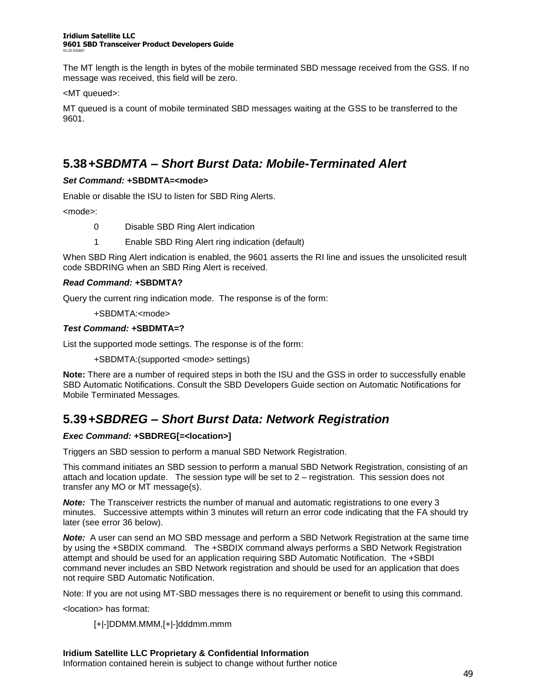#### **Iridium Satellite LLC 9601 SBD Transceiver Product Developers Guide** V1.25 031607

The MT length is the length in bytes of the mobile terminated SBD message received from the GSS. If no message was received, this field will be zero.

<MT queued>:

MT queued is a count of mobile terminated SBD messages waiting at the GSS to be transferred to the 9601.

### **5.38***+SBDMTA –Short Burst Data: Mobile-Terminated Alert*

### *Set Command:* **+SBDMTA=<mode>**

Enable or disable the ISU to listen for SBD Ring Alerts.

<mode>:

- 0 Disable SBD Ring Alert indication
- 1 Enable SBD Ring Alert ring indication (default)

When SBD Ring Alert indication is enabled, the 9601 asserts the RI line and issues the unsolicited result code SBDRING when an SBD Ring Alert is received.

### *Read Command:* **+SBDMTA?**

Query the current ring indication mode. The response is of the form:

+SBDMTA:<mode>

### *Test Command:* **+SBDMTA=?**

List the supported mode settings. The response is of the form:

+SBDMTA:(supported <mode> settings)

**Note:** There are a number of required steps in both the ISU and the GSS in order to successfully enable SBD Automatic Notifications. Consult the SBD Developers Guide section on Automatic Notifications for Mobile Terminated Messages.

### **5.39***+SBDREG –Short Burst Data: Network Registration*

### *Exec Command:* **+SBDREG[=<location>]**

Triggers an SBD session to perform a manual SBD Network Registration.

This command initiates an SBD session to perform a manual SBD Network Registration, consisting of an attach and location update. The session type will be set to 2 - registration. This session does not transfer any MO or MT message(s).

*Note:* The Transceiver restricts the number of manual and automatic registrations to one every 3 minutes. Successive attempts within 3 minutes will return an error code indicating that the FA should try later (see error 36 below).

*Note:* A user can send an MO SBD message and perform a SBD Network Registration at the same time by using the +SBDIX command. The +SBDIX command always performs a SBD Network Registration attempt and should be used for an application requiring SBD Automatic Notification. The +SBDI command never includes an SBD Network registration and should be used for an application that does not require SBD Automatic Notification.

Note: If you are not using MT-SBD messages there is no requirement or benefit to using this command.

<location> has format:

[+|-]DDMM.MMM,[+|-]dddmm.mmm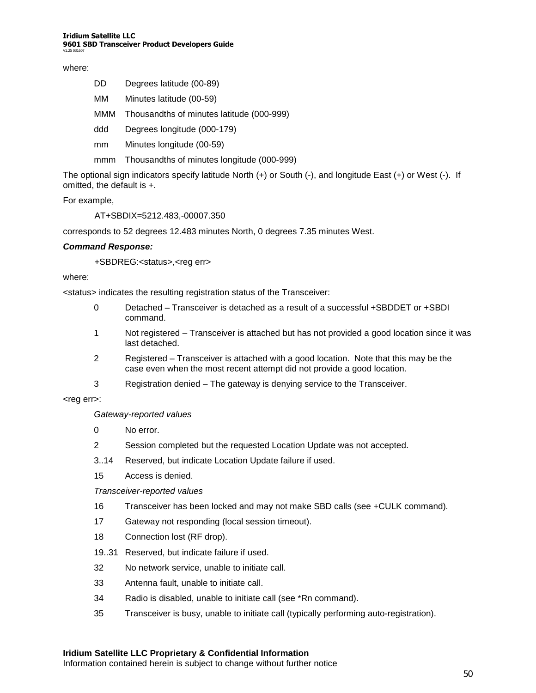#### where:

| Degrees latitude (00-89)<br>DD. |  |
|---------------------------------|--|
|---------------------------------|--|

- MM Minutes latitude (00-59)
- MMM Thousandths of minutes latitude (000-999)
- ddd Degrees longitude (000-179)
- mm Minutes longitude (00-59)
- mmm Thousandths of minutes longitude (000-999)

The optional sign indicators specify latitude North (+) or South (-), and longitude East (+) or West (-). If omitted, the default is +.

For example,

AT+SBDIX=5212.483,-00007.350

corresponds to 52 degrees 12.483 minutes North, 0 degrees 7.35 minutes West.

#### *Command Response:*

+SBDREG:<status>,<reg err>

#### where:

<status> indicates the resulting registration status of the Transceiver:

- 0 Detached –Transceiver is detached as a result of a successful +SBDDET or +SBDI command.
- 1 Not registered –Transceiver is attached but has not provided a good location since it was last detached.
- 2 Registered –Transceiver is attached with a good location. Note that this may be the case even when the most recent attempt did not provide a good location.
- 3 Registration denied –The gateway is denying service to the Transceiver.

#### <reg err>:

*Gateway-reported values*

- 0 No error.
- 2 Session completed but the requested Location Update was not accepted.
- 3..14 Reserved, but indicate Location Update failure if used.
- 15 Access is denied.

*Transceiver-reported values*

- 16 Transceiver has been locked and may not make SBD calls (see +CULK command).
- 17 Gateway not responding (local session timeout).
- 18 Connection lost (RF drop).
- 19..31 Reserved, but indicate failure if used.
- 32 No network service, unable to initiate call.
- 33 Antenna fault, unable to initiate call.
- 34 Radio is disabled, unable to initiate call (see \*Rn command).
- 35 Transceiver is busy, unable to initiate call (typically performing auto-registration).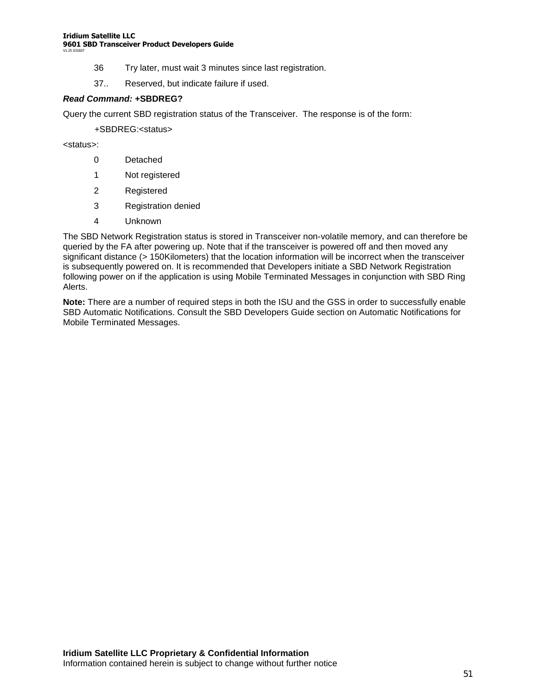#### **Iridium Satellite LLC 9601 SBD Transceiver Product Developers Guide** V1.25 031607

- 36 Try later, must wait 3 minutes since last registration.
- 37.. Reserved, but indicate failure if used.

#### *Read Command:* **+SBDREG?**

Query the current SBD registration status of the Transceiver. The response is of the form:

+SBDREG:<status>

<status>:

- 0 Detached
- 1 Not registered
- 2 Registered
- 3 Registration denied
- 4 Unknown

The SBD Network Registration status is stored in Transceiver non-volatile memory, and can therefore be queried by the FA after powering up. Note that if the transceiver is powered off and then moved any significant distance (> 150Kilometers) that the location information will be incorrect when the transceiver is subsequently powered on. It is recommended that Developers initiate a SBD Network Registration following power on if the application is using Mobile Terminated Messages in conjunction with SBD Ring Alerts.

**Note:** There are a number of required steps in both the ISU and the GSS in order to successfully enable SBD Automatic Notifications. Consult the SBD Developers Guide section on Automatic Notifications for Mobile Terminated Messages.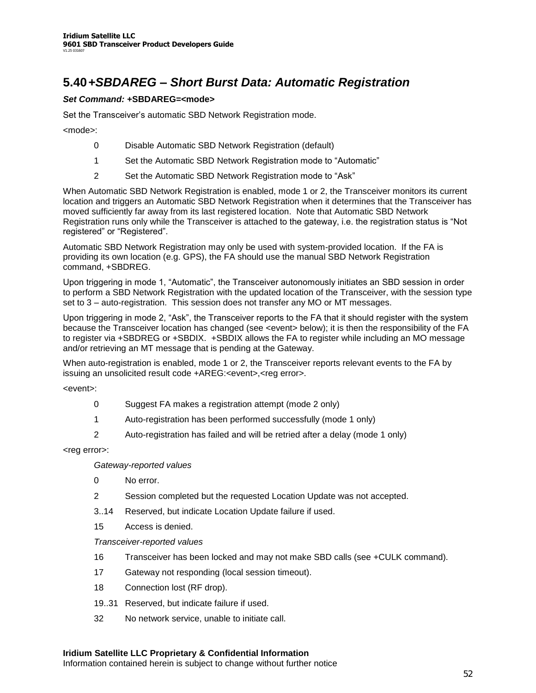## **5.40***+SBDAREG –Short Burst Data: Automatic Registration*

### *Set Command:* **+SBDAREG=<mode>**

Set the Transceiver's automatic SBD Network Registration mode.

<mode>:

- 0 Disable Automatic SBD Network Registration (default)
- 1 Set the Automatic SBD Network Registration mode to "Automatic"
- 2 Set the Automatic SBD Network Registration mode to "Ask"

When Automatic SBD Network Registration is enabled, mode 1 or 2, the Transceiver monitors its current location and triggers an Automatic SBD Network Registration when it determines that the Transceiver has moved sufficiently far away from its last registered location. Note that Automatic SBD Network Registration runs only while the Transceiver is attached to the gateway, i.e. the registration status is "Not registered" or "Registered".

Automatic SBD Network Registration may only be used with system-provided location. If the FA is providing its own location (e.g. GPS), the FA should use the manual SBD Network Registration command, +SBDREG.

Upon triggering in mode 1, "Automatic", the Transceiver autonomously initiates an SBD session in order to perform a SBD Network Registration with the updated location of the Transceiver, with the session type set to  $3$  – auto-registration. This session does not transfer any MO or MT messages.

Upon triggering in mode 2, "Ask", the Transceiver reports to the FA that it should register with the system because the Transceiver location has changed (see <event> below); it is then the responsibility of the FA to register via +SBDREG or +SBDIX. +SBDIX allows the FA to register while including an MO message and/or retrieving an MT message that is pending at the Gateway.

When auto-registration is enabled, mode 1 or 2, the Transceiver reports relevant events to the FA by issuing an unsolicited result code +AREG:<event>,<reg error>.

<event>:

- 0 Suggest FA makes a registration attempt (mode 2 only)
- 1 Auto-registration has been performed successfully (mode 1 only)
- 2 Auto-registration has failed and will be retried after a delay (mode 1 only)

<reg error>:

*Gateway-reported values*

- 0 No error.
- 2 Session completed but the requested Location Update was not accepted.
- 3..14 Reserved, but indicate Location Update failure if used.
- 15 Access is denied.

*Transceiver-reported values*

- 16 Transceiver has been locked and may not make SBD calls (see +CULK command).
- 17 Gateway not responding (local session timeout).
- 18 Connection lost (RF drop).
- 19..31 Reserved, but indicate failure if used.
- 32 No network service, unable to initiate call.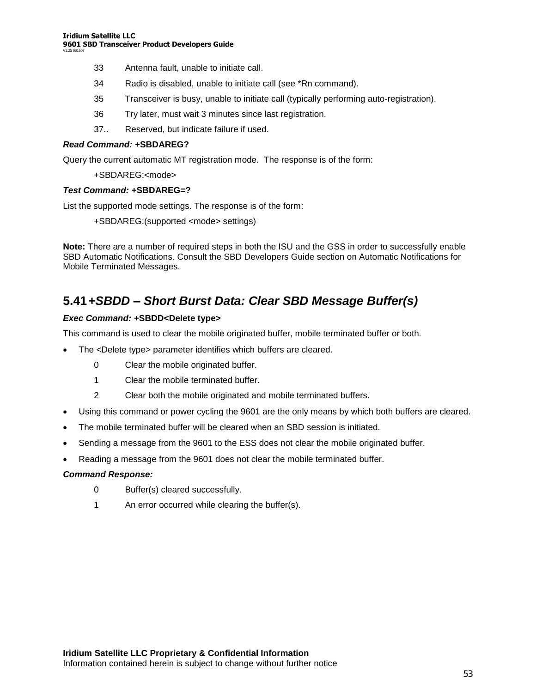- 33 Antenna fault, unable to initiate call.
- 34 Radio is disabled, unable to initiate call (see \*Rn command).
- 35 Transceiver is busy, unable to initiate call (typically performing auto-registration).
- 36 Try later, must wait 3 minutes since last registration.
- 37.. Reserved, but indicate failure if used.

#### *Read Command:* **+SBDAREG?**

Query the current automatic MT registration mode. The response is of the form:

#### +SBDAREG:<mode>

#### *Test Command:* **+SBDAREG=?**

List the supported mode settings. The response is of the form:

+SBDAREG:(supported <mode> settings)

**Note:** There are a number of required steps in both the ISU and the GSS in order to successfully enable SBD Automatic Notifications. Consult the SBD Developers Guide section on Automatic Notifications for Mobile Terminated Messages.

### **5.41***+SBDD –Short Burst Data: Clear SBD Message Buffer(s)*

#### *Exec Command:* **+SBDD<Delete type>**

This command is used to clear the mobile originated buffer, mobile terminated buffer or both.

- The <Delete type> parameter identifies which buffers are cleared.
	- 0 Clear the mobile originated buffer.
	- 1 Clear the mobile terminated buffer.
	- 2 Clear both the mobile originated and mobile terminated buffers.
- Using this command or power cycling the 9601 are the only means by which both buffers are cleared.
- The mobile terminated buffer will be cleared when an SBD session is initiated.
- Sending a message from the 9601 to the ESS does not clear the mobile originated buffer.
- Reading a message from the 9601 does not clear the mobile terminated buffer.

#### *Command Response:*

- 0 Buffer(s) cleared successfully.
- 1 An error occurred while clearing the buffer(s).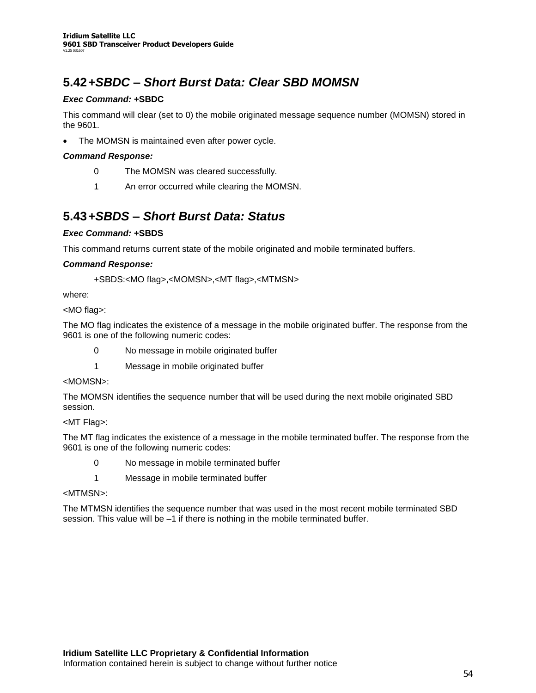## **5.42***+SBDC –Short Burst Data: Clear SBD MOMSN*

### *Exec Command:* **+SBDC**

This command will clear (set to 0) the mobile originated message sequence number (MOMSN) stored in the 9601.

The MOMSN is maintained even after power cycle.

### *Command Response:*

- 0 The MOMSN was cleared successfully.
- 1 An error occurred while clearing the MOMSN.

### **5.43***+SBDS –Short Burst Data: Status*

### *Exec Command:* **+SBDS**

This command returns current state of the mobile originated and mobile terminated buffers.

### *Command Response:*

+SBDS:<MO flag>,<MOMSN>,<MT flag>,<MTMSN>

where:

<MO flag>:

The MO flag indicates the existence of a message in the mobile originated buffer. The response from the 9601 is one of the following numeric codes:

- 0 No message in mobile originated buffer
- 1 Message in mobile originated buffer

#### <MOMSN>:

The MOMSN identifies the sequence number that will be used during the next mobile originated SBD session.

#### <MT Flag>:

The MT flag indicates the existence of a message in the mobile terminated buffer. The response from the 9601 is one of the following numeric codes:

- 0 No message in mobile terminated buffer
- 1 Message in mobile terminated buffer

#### <MTMSN>:

The MTMSN identifies the sequence number that was used in the most recent mobile terminated SBD session. This value will be -1 if there is nothing in the mobile terminated buffer.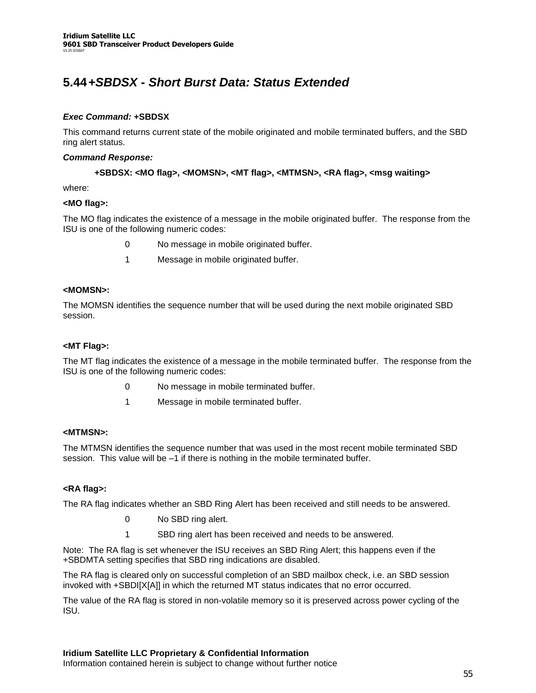## **5.44***+SBDSX - Short Burst Data: Status Extended*

### *Exec Command:* **+SBDSX**

This command returns current state of the mobile originated and mobile terminated buffers, and the SBD ring alert status.

#### *Command Response:*

### **+SBDSX: <MO flag>, <MOMSN>, <MT flag>, <MTMSN>, <RA flag>, <msg waiting>**

where:

### **<MO flag>:**

The MO flag indicates the existence of a message in the mobile originated buffer. The response from the ISU is one of the following numeric codes:

- 0 No message in mobile originated buffer.
- 1 Message in mobile originated buffer.

#### **<MOMSN>:**

The MOMSN identifies the sequence number that will be used during the next mobile originated SBD session.

#### **<MT Flag>:**

The MT flag indicates the existence of a message in the mobile terminated buffer. The response from the ISU is one of the following numeric codes:

- 0 No message in mobile terminated buffer.
- 1 Message in mobile terminated buffer.

### **<MTMSN>:**

The MTMSN identifies the sequence number that was used in the most recent mobile terminated SBD session. This value will be  $-1$  if there is nothing in the mobile terminated buffer.

#### **<RA flag>:**

The RA flag indicates whether an SBD Ring Alert has been received and still needs to be answered.

- 0 No SBD ring alert.
- 1 SBD ring alert has been received and needs to be answered.

Note: The RA flag is set whenever the ISU receives an SBD Ring Alert; this happens even if the +SBDMTA setting specifies that SBD ring indications are disabled.

The RA flag is cleared only on successful completion of an SBD mailbox check, i.e. an SBD session invoked with +SBDI[X[A]] in which the returned MT status indicates that no error occurred.

The value of the RA flag is stored in non-volatile memory so it is preserved across power cycling of the ISU.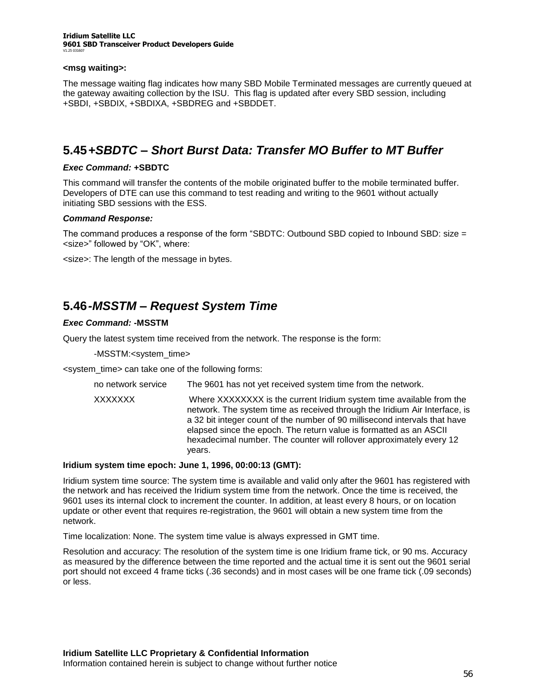#### **Iridium Satellite LLC 9601 SBD Transceiver Product Developers Guide** V1.25 031607

#### **<msg waiting>:**

The message waiting flag indicates how many SBD Mobile Terminated messages are currently queued at the gateway awaiting collection by the ISU. This flag is updated after every SBD session, including +SBDI, +SBDIX, +SBDIXA, +SBDREG and +SBDDET.

### **5.45***+SBDTC –Short Burst Data: Transfer MO Buffer to MT Buffer*

#### *Exec Command:* **+SBDTC**

This command will transfer the contents of the mobile originated buffer to the mobile terminated buffer. Developers of DTE can use this command to test reading and writing to the 9601 without actually initiating SBD sessions with the ESS.

#### *Command Response:*

The command produces a response of the form "SBDTC: Outbound SBD copied to Inbound SBD: size  $=$ <size>" followed by "OK", where:

<size>: The length of the message in bytes.

### **5.46***-MSSTM –Request System Time*

### *Exec Command:* **-MSSTM**

Query the latest system time received from the network. The response is the form:

-MSSTM:<system\_time>

<system\_time> can take one of the following forms:

no network service The 9601 has not yet received system time from the network.

XXXXXXX Where XXXXXXXX is the current Iridium system time available from the network. The system time as received through the Iridium Air Interface, is a 32 bit integer count of the number of 90 millisecond intervals that have elapsed since the epoch. The return value is formatted as an ASCII hexadecimal number. The counter will rollover approximately every 12 years.

#### **Iridium system time epoch: June 1, 1996, 00:00:13 (GMT):**

Iridium system time source: The system time is available and valid only after the 9601 has registered with the network and has received the Iridium system time from the network. Once the time is received, the 9601 uses its internal clock to increment the counter. In addition, at least every 8 hours, or on location update or other event that requires re-registration, the 9601 will obtain a new system time from the network.

Time localization: None. The system time value is always expressed in GMT time.

Resolution and accuracy: The resolution of the system time is one Iridium frame tick, or 90 ms. Accuracy as measured by the difference between the time reported and the actual time it is sent out the 9601 serial port should not exceed 4 frame ticks (.36 seconds) and in most cases will be one frame tick (.09 seconds) or less.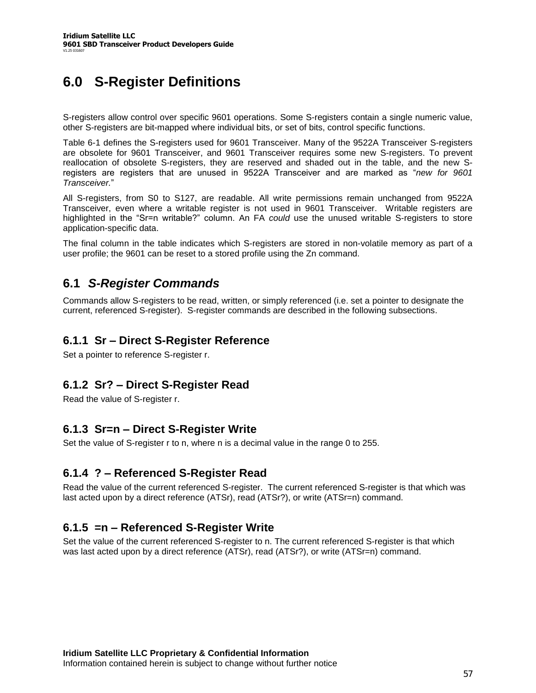# **6.0 S-Register Definitions**

S-registers allow control over specific 9601 operations. Some S-registers contain a single numeric value, other S-registers are bit-mapped where individual bits, or set of bits, control specific functions.

Table 6-1 defines the S-registers used for 9601 Transceiver. Many of the 9522A Transceiver S-registers are obsolete for 9601 Transceiver, and 9601 Transceiver requires some new S-registers. To prevent reallocation of obsolete S-registers, they are reserved and shaded out in the table, and the new Sregisters are registers that are unused in 9522A Transceiver and are marked as "new for 9601 *Transceiver.*"

All S-registers, from S0 to S127, are readable. All write permissions remain unchanged from 9522A Transceiver, even where a writable register is not used in 9601 Transceiver. Writable registers are highlighted in the "Sr=n writable?" column. An FA *could* use the unused writable S-registers to store application-specific data.

The final column in the table indicates which S-registers are stored in non-volatile memory as part of a user profile; the 9601 can be reset to a stored profile using the Zn command.

### **6.1** *S-Register Commands*

Commands allow S-registers to be read, written, or simply referenced (i.e. set a pointer to designate the current, referenced S-register). S-register commands are described in the following subsections.

### **6.1.1 Sr –Direct S-Register Reference**

Set a pointer to reference S-register r.

### **6.1.2 Sr? –Direct S-Register Read**

Read the value of S-register r.

### **6.1.3 Sr=n –Direct S-Register Write**

Set the value of S-register r to n, where n is a decimal value in the range 0 to 255.

### **6.1.4 ? –Referenced S-Register Read**

Read the value of the current referenced S-register. The current referenced S-register is that which was last acted upon by a direct reference (ATSr), read (ATSr?), or write (ATSr=n) command.

### **6.1.5 =n –Referenced S-Register Write**

Set the value of the current referenced S-register to n. The current referenced S-register is that which was last acted upon by a direct reference (ATSr), read (ATSr?), or write (ATSr=n) command.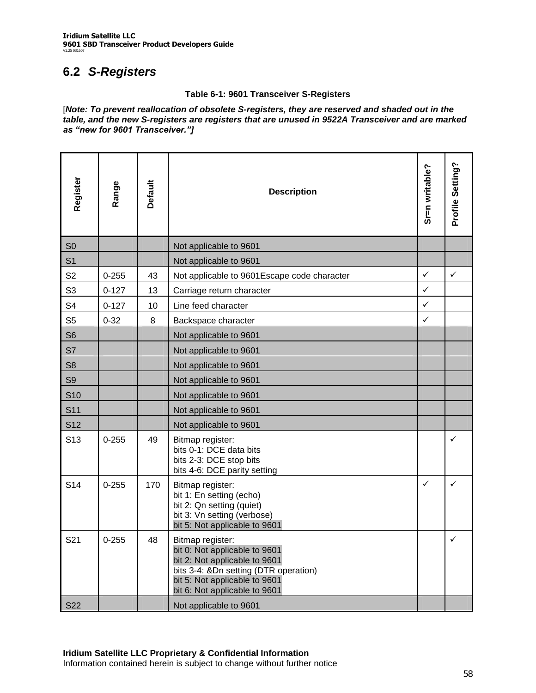# **6.2** *S-Registers*

### **Table 6-1: 9601 Transceiver S-Registers**

[*Note: To prevent reallocation of obsolete S-registers, they are reserved and shaded out in the table, and the new S-registers are registers that are unused in 9522A Transceiver and are marked as"newfor9601Transceiver."]*

| Register          | Range     | <b>Default</b> | <b>Description</b>                                                                                                                                                                                                      | Sr=n writable? | Profile Setting? |
|-------------------|-----------|----------------|-------------------------------------------------------------------------------------------------------------------------------------------------------------------------------------------------------------------------|----------------|------------------|
| S <sub>0</sub>    |           |                | Not applicable to 9601                                                                                                                                                                                                  |                |                  |
| S <sub>1</sub>    |           |                | Not applicable to 9601                                                                                                                                                                                                  |                |                  |
| S <sub>2</sub>    | $0 - 255$ | 43             | Not applicable to 9601Escape code character                                                                                                                                                                             | $\checkmark$   | $\checkmark$     |
| S <sub>3</sub>    | $0 - 127$ | 13             | Carriage return character                                                                                                                                                                                               | $\checkmark$   |                  |
| S <sub>4</sub>    | $0 - 127$ | 10             | Line feed character                                                                                                                                                                                                     | $\checkmark$   |                  |
| S <sub>5</sub>    | $0 - 32$  | 8              | Backspace character                                                                                                                                                                                                     | $\checkmark$   |                  |
| S <sub>6</sub>    |           |                | Not applicable to 9601                                                                                                                                                                                                  |                |                  |
| S7                |           |                | Not applicable to 9601                                                                                                                                                                                                  |                |                  |
| S <sub>8</sub>    |           |                | Not applicable to 9601                                                                                                                                                                                                  |                |                  |
| S <sub>9</sub>    |           |                | Not applicable to 9601                                                                                                                                                                                                  |                |                  |
| <b>S10</b>        |           |                | Not applicable to 9601                                                                                                                                                                                                  |                |                  |
| S <sub>11</sub>   |           |                | Not applicable to 9601                                                                                                                                                                                                  |                |                  |
| S <sub>12</sub>   |           |                | Not applicable to 9601                                                                                                                                                                                                  |                |                  |
| S <sub>13</sub>   | $0 - 255$ | 49             | Bitmap register:<br>bits 0-1: DCE data bits<br>bits 2-3: DCE stop bits<br>bits 4-6: DCE parity setting                                                                                                                  |                | ✓                |
| S <sub>14</sub>   | $0 - 255$ | 170            | Bitmap register:<br>bit 1: En setting (echo)<br>bit 2: Qn setting (quiet)<br>bit 3: Vn setting (verbose)<br>bit 5: Not applicable to 9601                                                                               | $\checkmark$   | ✓                |
| S21<br><b>S22</b> | $0 - 255$ | 48             | Bitmap register:<br>bit 0: Not applicable to 9601<br>bit 2: Not applicable to 9601<br>bits 3-4: &Dn setting (DTR operation)<br>bit 5: Not applicable to 9601<br>bit 6: Not applicable to 9601<br>Not applicable to 9601 |                | ✓                |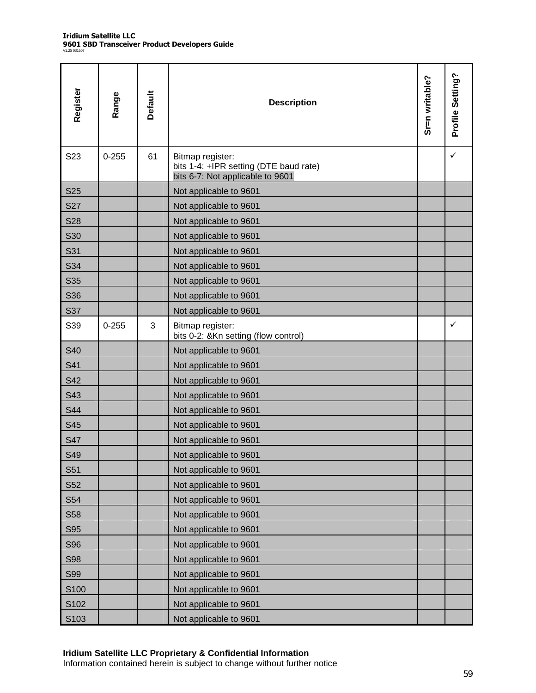| Register   | Range     | Default | <b>Description</b>                                                                             | Sr=n writable? | Profile Setting? |
|------------|-----------|---------|------------------------------------------------------------------------------------------------|----------------|------------------|
| S23        | $0 - 255$ | 61      | Bitmap register:<br>bits 1-4: +IPR setting (DTE baud rate)<br>bits 6-7: Not applicable to 9601 |                | ✓                |
| <b>S25</b> |           |         | Not applicable to 9601                                                                         |                |                  |
| <b>S27</b> |           |         | Not applicable to 9601                                                                         |                |                  |
| <b>S28</b> |           |         | Not applicable to 9601                                                                         |                |                  |
| <b>S30</b> |           |         | Not applicable to 9601                                                                         |                |                  |
| S31        |           |         | Not applicable to 9601                                                                         |                |                  |
| S34        |           |         | Not applicable to 9601                                                                         |                |                  |
| S35        |           |         | Not applicable to 9601                                                                         |                |                  |
| <b>S36</b> |           |         | Not applicable to 9601                                                                         |                |                  |
| S37        |           |         | Not applicable to 9601                                                                         |                |                  |
| S39        | $0 - 255$ | 3       | Bitmap register:<br>bits 0-2: &Kn setting (flow control)                                       |                | $\checkmark$     |
| S40        |           |         | Not applicable to 9601                                                                         |                |                  |
| S41        |           |         | Not applicable to 9601                                                                         |                |                  |
| <b>S42</b> |           |         | Not applicable to 9601                                                                         |                |                  |
| S43        |           |         | Not applicable to 9601                                                                         |                |                  |
| <b>S44</b> |           |         | Not applicable to 9601                                                                         |                |                  |
| S45        |           |         | Not applicable to 9601                                                                         |                |                  |
| <b>S47</b> |           |         | Not applicable to 9601                                                                         |                |                  |
| S49        |           |         | Not applicable to 9601                                                                         |                |                  |
| S51        |           |         | Not applicable to 9601                                                                         |                |                  |
| S52        |           |         | Not applicable to 9601                                                                         |                |                  |
| S54        |           |         | Not applicable to 9601                                                                         |                |                  |
| S58        |           |         | Not applicable to 9601                                                                         |                |                  |
| <b>S95</b> |           |         | Not applicable to 9601                                                                         |                |                  |
| <b>S96</b> |           |         | Not applicable to 9601                                                                         |                |                  |
| <b>S98</b> |           |         | Not applicable to 9601                                                                         |                |                  |
| <b>S99</b> |           |         | Not applicable to 9601                                                                         |                |                  |
| S100       |           |         | Not applicable to 9601                                                                         |                |                  |
| S102       |           |         | Not applicable to 9601                                                                         |                |                  |
| S103       |           |         | Not applicable to 9601                                                                         |                |                  |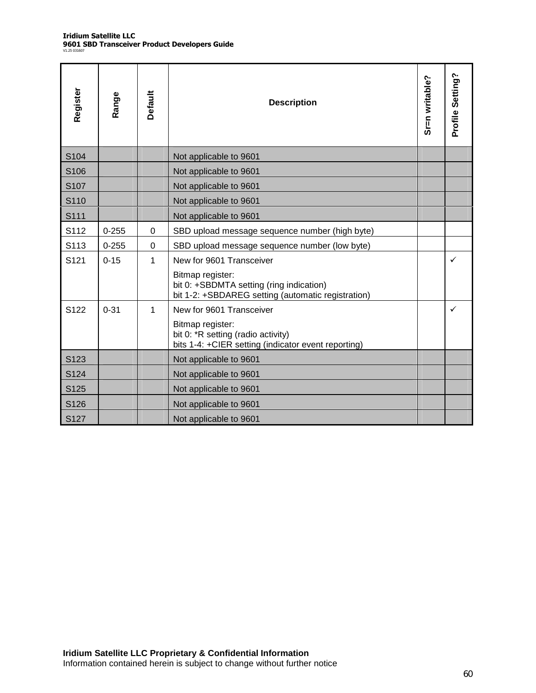| Register         | Range     | Default  | <b>Description</b>                                                                                                 | Sr=n writable? | Profile Setting? |
|------------------|-----------|----------|--------------------------------------------------------------------------------------------------------------------|----------------|------------------|
| S104             |           |          | Not applicable to 9601                                                                                             |                |                  |
| S <sub>106</sub> |           |          | Not applicable to 9601                                                                                             |                |                  |
| S <sub>107</sub> |           |          | Not applicable to 9601                                                                                             |                |                  |
| S110             |           |          | Not applicable to 9601                                                                                             |                |                  |
| S111             |           |          | Not applicable to 9601                                                                                             |                |                  |
| S112             | $0 - 255$ | $\Omega$ | SBD upload message sequence number (high byte)                                                                     |                |                  |
| S113             | $0 - 255$ | 0        | SBD upload message sequence number (low byte)                                                                      |                |                  |
| S <sub>121</sub> | $0 - 15$  | 1        | New for 9601 Transceiver                                                                                           |                | ✓                |
|                  |           |          | Bitmap register:<br>bit 0: +SBDMTA setting (ring indication)<br>bit 1-2: +SBDAREG setting (automatic registration) |                |                  |
| S <sub>122</sub> | $0 - 31$  | 1        | New for 9601 Transceiver                                                                                           |                | ✓                |
|                  |           |          | Bitmap register:<br>bit 0: *R setting (radio activity)<br>bits 1-4: +CIER setting (indicator event reporting)      |                |                  |
| S <sub>123</sub> |           |          | Not applicable to 9601                                                                                             |                |                  |
| S <sub>124</sub> |           |          | Not applicable to 9601                                                                                             |                |                  |
| S125             |           |          | Not applicable to 9601                                                                                             |                |                  |
| S <sub>126</sub> |           |          | Not applicable to 9601                                                                                             |                |                  |
| S127             |           |          | Not applicable to 9601                                                                                             |                |                  |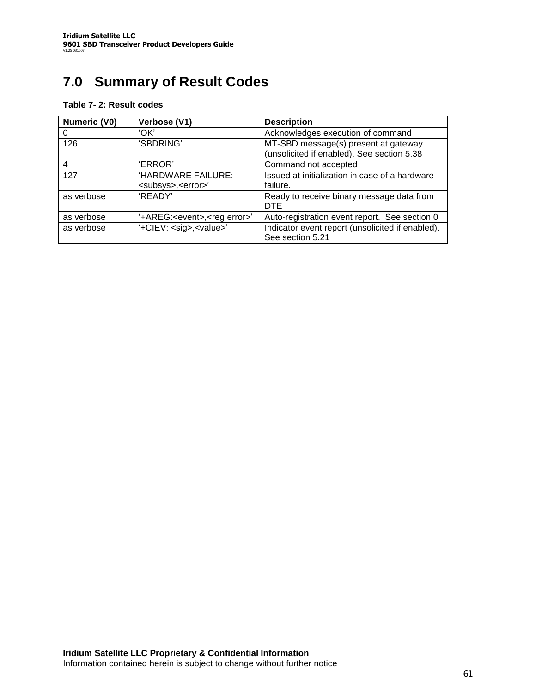# **7.0 Summary of Result Codes**

| Numeric (V0)   | Verbose (V1)                                             | <b>Description</b>                                                                 |
|----------------|----------------------------------------------------------|------------------------------------------------------------------------------------|
| O              | 'OK'                                                     | Acknowledges execution of command                                                  |
| 126            | 'SBDRING'                                                | MT-SBD message(s) present at gateway<br>(unsolicited if enabled). See section 5.38 |
| $\overline{4}$ | 'ERROR'                                                  | Command not accepted                                                               |
| 127            | 'HARDWARE FAILURE:<br><subsys>,<error>'</error></subsys> | Issued at initialization in case of a hardware<br>failure.                         |
| as verbose     | 'READY'                                                  | Ready to receive binary message data from<br><b>DTF</b>                            |
| as verbose     | '+AREG: <event>,<reg error="">'</reg></event>            | Auto-registration event report. See section 0                                      |
| as verbose     | '+CIEV: <sig>,<value>'</value></sig>                     | Indicator event report (unsolicited if enabled).<br>See section 5.21               |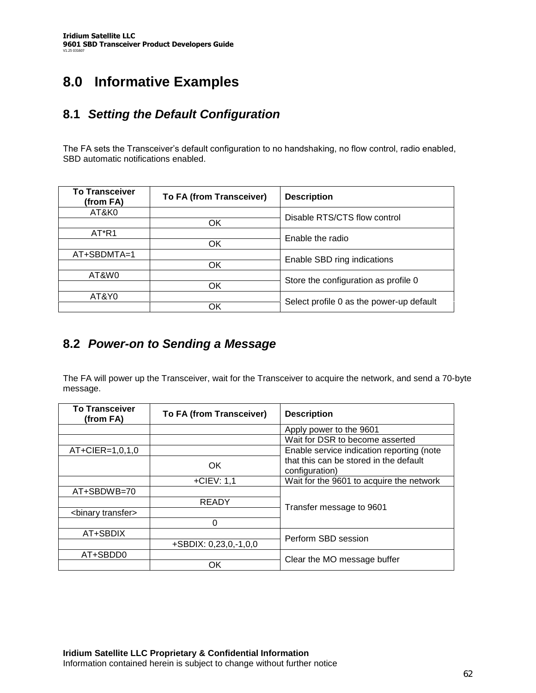# **8.0 Informative Examples**

### **8.1** *Setting the Default Configuration*

The FA sets the Transceiver's default configuration to no handshaking, no flow control, radio enabled, SBD automatic notifications enabled.

| <b>To Transceiver</b><br>(from FA) | To FA (from Transceiver) | <b>Description</b>                       |  |
|------------------------------------|--------------------------|------------------------------------------|--|
| AT&K0                              |                          | Disable RTS/CTS flow control             |  |
|                                    | OK                       |                                          |  |
| AT*R1                              |                          | Enable the radio                         |  |
|                                    | OK                       |                                          |  |
| AT+SBDMTA=1                        |                          | Enable SBD ring indications              |  |
|                                    | ΟK                       |                                          |  |
| AT&W0                              |                          |                                          |  |
|                                    | <b>OK</b>                | Store the configuration as profile 0     |  |
| AT&Y0                              |                          | Select profile 0 as the power-up default |  |
|                                    | ΟK                       |                                          |  |

### **8.2** *Power-on to Sending a Message*

The FA will power up the Transceiver, wait for the Transceiver to acquire the network, and send a 70-byte message.

| <b>To Transceiver</b><br>(from FA) | To FA (from Transceiver) | <b>Description</b>                                       |  |  |
|------------------------------------|--------------------------|----------------------------------------------------------|--|--|
|                                    |                          | Apply power to the 9601                                  |  |  |
|                                    |                          | Wait for DSR to become asserted                          |  |  |
| $AT + CIER = 1,0,1,0$              |                          | Enable service indication reporting (note                |  |  |
|                                    | <b>OK</b>                | that this can be stored in the default<br>configuration) |  |  |
|                                    | $+CIEV: 1.1$             | Wait for the 9601 to acquire the network                 |  |  |
| AT+SBDWB=70                        |                          |                                                          |  |  |
|                                    | <b>READY</b>             | Transfer message to 9601                                 |  |  |
| <binary transfer=""></binary>      |                          |                                                          |  |  |
|                                    | 0                        |                                                          |  |  |
| AT+SBDIX                           |                          | Perform SBD session                                      |  |  |
|                                    | $+$ SBDIX: 0,23,0,-1,0,0 |                                                          |  |  |
| AT+SBDD0                           |                          |                                                          |  |  |
|                                    | ОK                       | Clear the MO message buffer                              |  |  |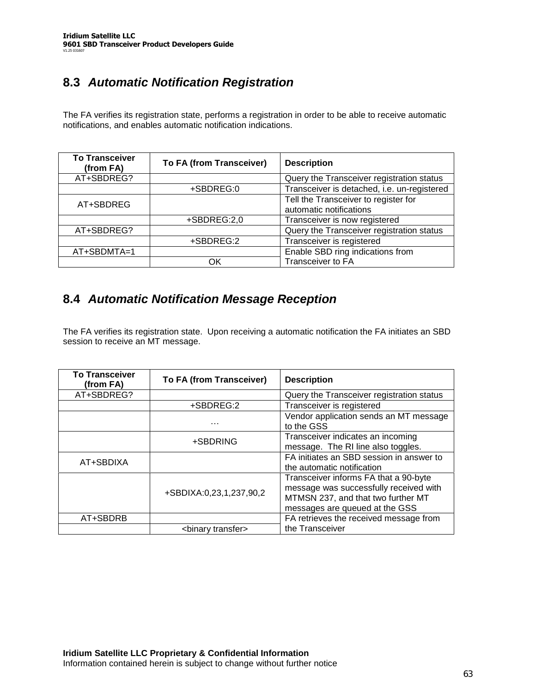# **8.3** *Automatic Notification Registration*

The FA verifies its registration state, performs a registration in order to be able to receive automatic notifications, and enables automatic notification indications.

| <b>To Transceiver</b><br>(from FA) | To FA (from Transceiver) | <b>Description</b>                                              |
|------------------------------------|--------------------------|-----------------------------------------------------------------|
| AT+SBDREG?                         |                          | Query the Transceiver registration status                       |
|                                    | +SBDREG:0                | Transceiver is detached, i.e. un-registered                     |
| AT+SBDREG                          |                          | Tell the Transceiver to register for<br>automatic notifications |
|                                    | +SBDREG:2,0              | Transceiver is now registered                                   |
| AT+SBDREG?                         |                          | Query the Transceiver registration status                       |
|                                    | +SBDREG:2                | Transceiver is registered                                       |
| AT+SBDMTA=1                        |                          | Enable SBD ring indications from                                |
|                                    | OК                       | Transceiver to FA                                               |

### **8.4** *Automatic Notification Message Reception*

The FA verifies its registration state. Upon receiving a automatic notification the FA initiates an SBD session to receive an MT message.

| <b>To Transceiver</b><br>(from FA) | To FA (from Transceiver)      | <b>Description</b>                                                                                                                                      |
|------------------------------------|-------------------------------|---------------------------------------------------------------------------------------------------------------------------------------------------------|
| AT+SBDREG?                         |                               | Query the Transceiver registration status                                                                                                               |
|                                    | +SBDREG:2                     | Transceiver is registered                                                                                                                               |
|                                    | $\cdots$                      | Vendor application sends an MT message<br>to the GSS                                                                                                    |
|                                    | +SBDRING                      | Transceiver indicates an incoming<br>message. The RI line also toggles.                                                                                 |
| AT+SBDIXA                          |                               | FA initiates an SBD session in answer to<br>the automatic notification                                                                                  |
|                                    | +SBDIXA:0,23,1,237,90,2       | Transceiver informs FA that a 90-byte<br>message was successfully received with<br>MTMSN 237, and that two further MT<br>messages are queued at the GSS |
| AT+SBDRB                           |                               | FA retrieves the received message from                                                                                                                  |
|                                    | <binary transfer=""></binary> | the Transceiver                                                                                                                                         |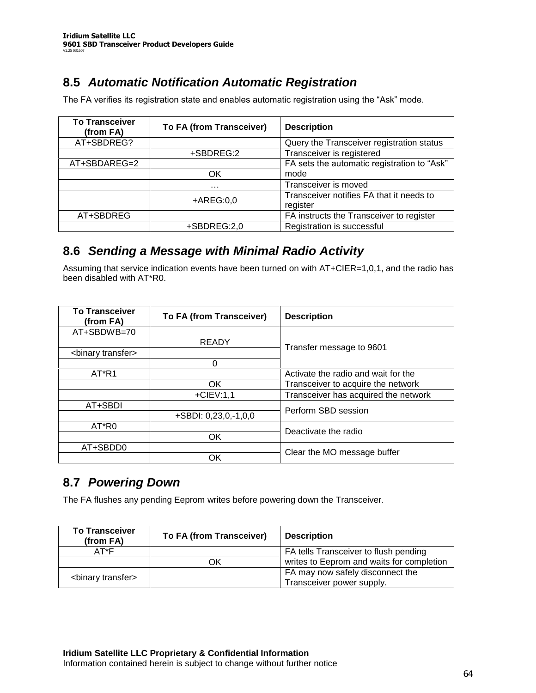## **8.5** *Automatic Notification Automatic Registration*

The FA verifies its registration state and enables automatic registration using the "Ask" mode.

| <b>To Transceiver</b><br>(from FA) | To FA (from Transceiver)<br><b>Description</b> |                                             |
|------------------------------------|------------------------------------------------|---------------------------------------------|
| AT+SBDREG?                         |                                                | Query the Transceiver registration status   |
|                                    | +SBDREG:2                                      | Transceiver is registered                   |
| AT+SBDAREG=2                       |                                                | FA sets the automatic registration to "Ask" |
|                                    | OK                                             | mode                                        |
|                                    | .                                              | Transceiver is moved                        |
|                                    | $+AREG:0,0$                                    | Transceiver notifies FA that it needs to    |
|                                    |                                                | register                                    |
| AT+SBDREG                          |                                                | FA instructs the Transceiver to register    |
|                                    | +SBDREG:2,0                                    | Registration is successful                  |

### **8.6** *Sending a Message with Minimal Radio Activity*

Assuming that service indication events have been turned on with AT+CIER=1,0,1, and the radio has been disabled with AT\*R0.

| <b>To Transceiver</b><br>(from FA) | To FA (from Transceiver) | <b>Description</b>                   |  |  |
|------------------------------------|--------------------------|--------------------------------------|--|--|
| AT+SBDWB=70                        |                          |                                      |  |  |
|                                    | <b>READY</b>             | Transfer message to 9601             |  |  |
| <binary transfer=""></binary>      |                          |                                      |  |  |
|                                    | U                        |                                      |  |  |
| AT*R1                              |                          | Activate the radio and wait for the  |  |  |
|                                    | OK                       | Transceiver to acquire the network   |  |  |
|                                    | $+CIEV:1.1$              | Transceiver has acquired the network |  |  |
| AT+SBDI                            |                          | Perform SBD session                  |  |  |
|                                    | +SBDI: 0,23,0,-1,0,0     |                                      |  |  |
| AT*R0                              |                          | Deactivate the radio                 |  |  |
|                                    | ОK                       |                                      |  |  |
| AT+SBDD0                           |                          | Clear the MO message buffer          |  |  |
|                                    | ΟK                       |                                      |  |  |

### **8.7** *Powering Down*

The FA flushes any pending Eeprom writes before powering down the Transceiver.

| <b>To Transceiver</b><br>(from FA) | To FA (from Transceiver) | <b>Description</b>                        |
|------------------------------------|--------------------------|-------------------------------------------|
| AT*F                               |                          | FA tells Transceiver to flush pending     |
|                                    | DК                       | writes to Eeprom and waits for completion |
|                                    |                          | FA may now safely disconnect the          |
| <binary transfer=""></binary>      |                          | Transceiver power supply.                 |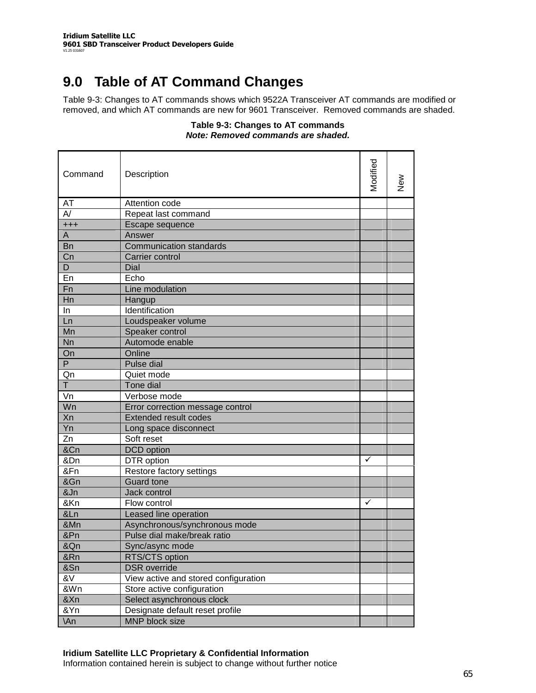# **9.0 Table of AT Command Changes**

Table 9-3: Changes to AT commands shows which 9522A Transceiver AT commands are modified or removed, and which AT commands are new for 9601 Transceiver. Removed commands are shaded.

### **Table 9-3: Changes to AT commands** *Note: Removed commands are shaded.*

| Command                 | Description                          | Modified | New |
|-------------------------|--------------------------------------|----------|-----|
| AT                      | Attention code                       |          |     |
| $\overline{\mathsf{A}}$ | Repeat last command                  |          |     |
| $^{+++}$                | Escape sequence                      |          |     |
| A                       | Answer                               |          |     |
| <b>Bn</b>               | <b>Communication standards</b>       |          |     |
| Cn                      | Carrier control                      |          |     |
| D                       | Dial                                 |          |     |
| En                      | Echo                                 |          |     |
| Fn                      | Line modulation                      |          |     |
| Hn                      | Hangup                               |          |     |
| In                      | Identification                       |          |     |
| Ln                      | Loudspeaker volume                   |          |     |
| Mn                      | Speaker control                      |          |     |
| Nn                      | Automode enable                      |          |     |
| On                      | Online                               |          |     |
| $\overline{P}$          | Pulse dial                           |          |     |
| Qn                      | Quiet mode                           |          |     |
| $\overline{1}$          | Tone dial                            |          |     |
| Vn                      | Verbose mode                         |          |     |
| Wn                      | Error correction message control     |          |     |
| Xn                      | <b>Extended result codes</b>         |          |     |
| Yn                      | Long space disconnect                |          |     |
| Zn                      | Soft reset                           |          |     |
| &Cn                     | DCD option                           |          |     |
| &Dn                     | DTR option                           | ✓        |     |
| &Fn                     | Restore factory settings             |          |     |
| &Gn                     | <b>Guard tone</b>                    |          |     |
| &Jn                     | Jack control                         |          |     |
| &Kn                     | Flow control                         | ✓        |     |
| &Ln                     | Leased line operation                |          |     |
| &Mn                     | Asynchronous/synchronous mode        |          |     |
| &Pn                     | Pulse dial make/break ratio          |          |     |
| &Qn                     | Sync/async mode                      |          |     |
| &Rn                     | RTS/CTS option                       |          |     |
| &Sn                     | <b>DSR</b> override                  |          |     |
| &V                      | View active and stored configuration |          |     |
| &Wn                     | Store active configuration           |          |     |
| &Xn                     | Select asynchronous clock            |          |     |
| &Yn                     | Designate default reset profile      |          |     |
| \An                     | MNP block size                       |          |     |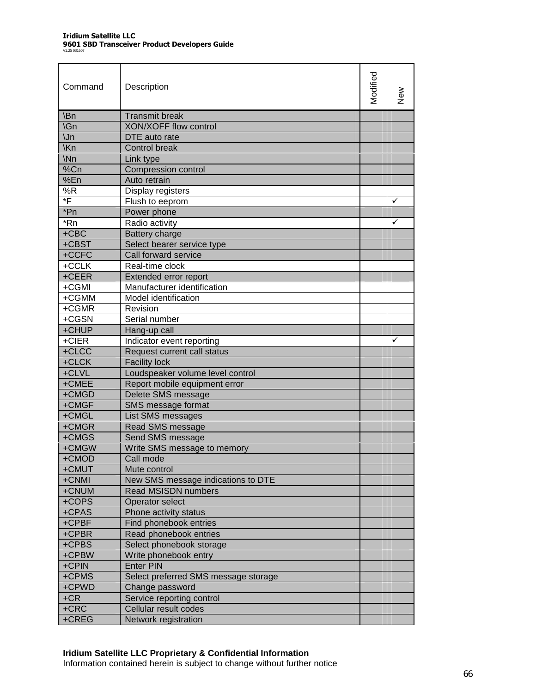| Command         | Description                          | Modified | ≷<br>Z |
|-----------------|--------------------------------------|----------|--------|
| \Bn             | <b>Transmit break</b>                |          |        |
| \Gn             | <b>XON/XOFF flow control</b>         |          |        |
| $\mathsf{U}$ n  | DTE auto rate                        |          |        |
| <b>Kn</b>       | <b>Control break</b>                 |          |        |
| \N <sub>n</sub> | Link type                            |          |        |
| %Cn             | <b>Compression control</b>           |          |        |
| %En             | Auto retrain                         |          |        |
| %R              | Display registers                    |          |        |
| *F              | Flush to eeprom                      |          | ✓      |
| *Pn             | Power phone                          |          |        |
| *Rn             | Radio activity                       |          | ✓      |
| $+CBC$          | Battery charge                       |          |        |
| +CBST           | Select bearer service type           |          |        |
| +CCFC           | Call forward service                 |          |        |
| +CCLK           | Real-time clock                      |          |        |
| +CEER           | Extended error report                |          |        |
| +CGMI           | Manufacturer identification          |          |        |
| +CGMM           | Model identification                 |          |        |
| +CGMR           | Revision                             |          |        |
| +CGSN           | Serial number                        |          |        |
| +CHUP           | Hang-up call                         |          |        |
| +CIER           | Indicator event reporting            |          | ✓      |
| +CLCC           | Request current call status          |          |        |
| +CLCK           | <b>Facility lock</b>                 |          |        |
| +CLVL           | Loudspeaker volume level control     |          |        |
| +CMEE           | Report mobile equipment error        |          |        |
| +CMGD           | Delete SMS message                   |          |        |
| +CMGF           | SMS message format                   |          |        |
| +CMGL           | List SMS messages                    |          |        |
| +CMGR           | Read SMS message                     |          |        |
| +CMGS           | Send SMS message                     |          |        |
| +CMGW           | Write SMS message to memory          |          |        |
| +CMOD           | Call mode                            |          |        |
| +CMUT           | Mute control                         |          |        |
| +CNMI           | New SMS message indications to DTE   |          |        |
| +CNUM           | <b>Read MSISDN numbers</b>           |          |        |
| +COPS           | Operator select                      |          |        |
| +CPAS           | Phone activity status                |          |        |
| +CPBF           | Find phonebook entries               |          |        |
| +CPBR           | Read phonebook entries               |          |        |
| +CPBS           | Select phonebook storage             |          |        |
| +CPBW           | Write phonebook entry                |          |        |
| +CPIN           | <b>Enter PIN</b>                     |          |        |
| +CPMS           | Select preferred SMS message storage |          |        |
| +CPWD           | Change password                      |          |        |
| $+CR$           | Service reporting control            |          |        |
| $+CRC$          | Cellular result codes                |          |        |
| +CREG           | Network registration                 |          |        |